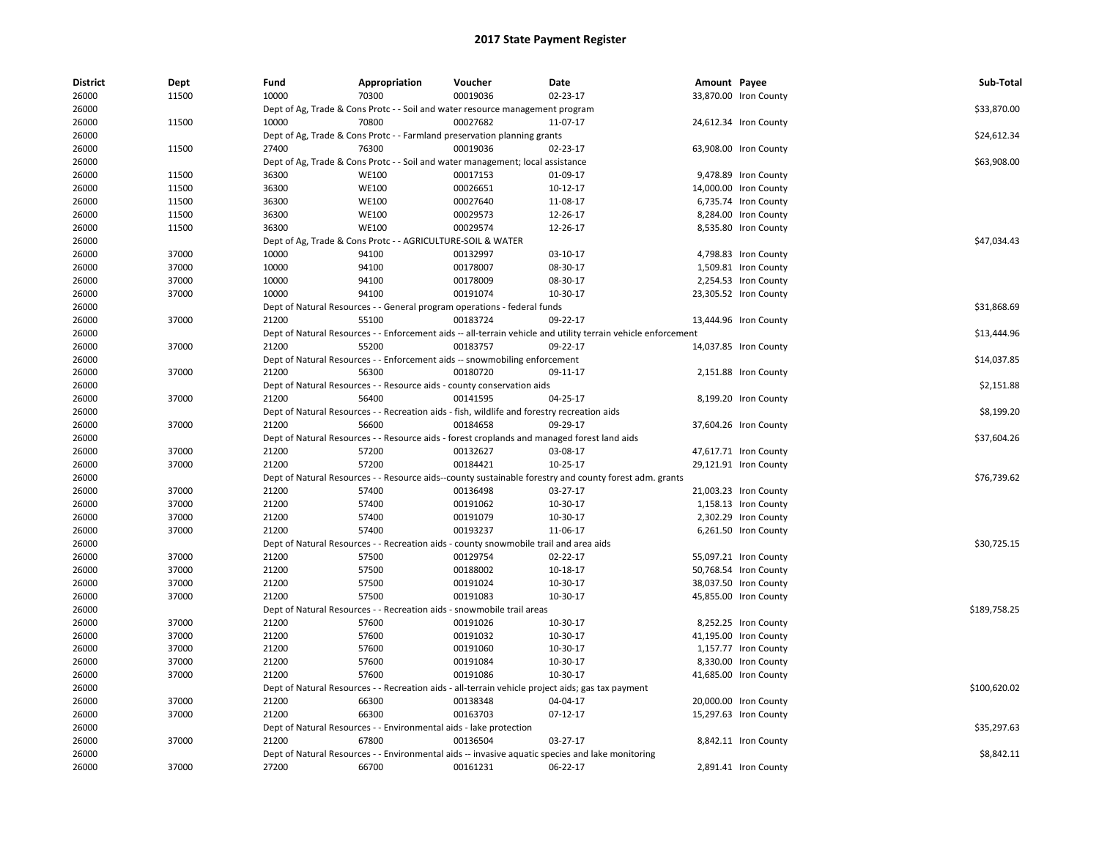| <b>District</b> | Dept  | Fund  | Appropriation                                                                               | Voucher  | Date                                                                                                          | Amount Payee |                       | Sub-Total    |
|-----------------|-------|-------|---------------------------------------------------------------------------------------------|----------|---------------------------------------------------------------------------------------------------------------|--------------|-----------------------|--------------|
| 26000           | 11500 | 10000 | 70300                                                                                       | 00019036 | 02-23-17                                                                                                      |              | 33,870.00 Iron County |              |
| 26000           |       |       | Dept of Ag, Trade & Cons Protc - - Soil and water resource management program               |          |                                                                                                               |              |                       | \$33,870.00  |
| 26000           | 11500 | 10000 | 70800                                                                                       | 00027682 | 11-07-17                                                                                                      |              | 24,612.34 Iron County |              |
| 26000           |       |       | Dept of Ag, Trade & Cons Protc - - Farmland preservation planning grants                    |          |                                                                                                               |              |                       | \$24,612.34  |
| 26000           | 11500 | 27400 | 76300                                                                                       | 00019036 | 02-23-17                                                                                                      |              | 63,908.00 Iron County |              |
| 26000           |       |       | Dept of Ag, Trade & Cons Protc - - Soil and water management; local assistance              |          |                                                                                                               |              |                       | \$63,908.00  |
| 26000           | 11500 | 36300 | <b>WE100</b>                                                                                | 00017153 | 01-09-17                                                                                                      |              | 9,478.89 Iron County  |              |
| 26000           | 11500 | 36300 | <b>WE100</b>                                                                                | 00026651 | 10-12-17                                                                                                      |              | 14,000.00 Iron County |              |
| 26000           | 11500 | 36300 | <b>WE100</b>                                                                                | 00027640 | 11-08-17                                                                                                      |              | 6,735.74 Iron County  |              |
| 26000           | 11500 | 36300 | <b>WE100</b>                                                                                | 00029573 | 12-26-17                                                                                                      |              | 8,284.00 Iron County  |              |
| 26000           | 11500 | 36300 | <b>WE100</b>                                                                                | 00029574 | 12-26-17                                                                                                      |              | 8,535.80 Iron County  |              |
| 26000           |       |       | Dept of Ag, Trade & Cons Protc - - AGRICULTURE-SOIL & WATER                                 |          |                                                                                                               |              |                       | \$47,034.43  |
| 26000           | 37000 | 10000 | 94100                                                                                       | 00132997 | 03-10-17                                                                                                      |              | 4,798.83 Iron County  |              |
| 26000           | 37000 | 10000 | 94100                                                                                       | 00178007 | 08-30-17                                                                                                      |              | 1,509.81 Iron County  |              |
| 26000           | 37000 | 10000 | 94100                                                                                       | 00178009 | 08-30-17                                                                                                      |              | 2,254.53 Iron County  |              |
| 26000           | 37000 | 10000 | 94100                                                                                       | 00191074 | 10-30-17                                                                                                      |              | 23,305.52 Iron County |              |
| 26000           |       |       | Dept of Natural Resources - - General program operations - federal funds                    |          |                                                                                                               |              |                       | \$31,868.69  |
| 26000           | 37000 | 21200 | 55100                                                                                       | 00183724 | 09-22-17                                                                                                      |              | 13,444.96 Iron County |              |
| 26000           |       |       |                                                                                             |          | Dept of Natural Resources - - Enforcement aids -- all-terrain vehicle and utility terrain vehicle enforcement |              |                       | \$13,444.96  |
| 26000           | 37000 | 21200 | 55200                                                                                       | 00183757 | 09-22-17                                                                                                      |              | 14,037.85 Iron County |              |
| 26000           |       |       | Dept of Natural Resources - - Enforcement aids -- snowmobiling enforcement                  |          |                                                                                                               |              |                       | \$14,037.85  |
| 26000           | 37000 | 21200 | 56300                                                                                       | 00180720 | 09-11-17                                                                                                      |              | 2,151.88 Iron County  |              |
| 26000           |       |       | Dept of Natural Resources - - Resource aids - county conservation aids                      |          |                                                                                                               |              |                       | \$2,151.88   |
| 26000           | 37000 | 21200 | 56400                                                                                       | 00141595 | 04-25-17                                                                                                      |              | 8,199.20 Iron County  |              |
| 26000           |       |       | Dept of Natural Resources - - Recreation aids - fish, wildlife and forestry recreation aids |          |                                                                                                               |              |                       | \$8,199.20   |
| 26000           | 37000 | 21200 | 56600                                                                                       | 00184658 | 09-29-17                                                                                                      |              | 37,604.26 Iron County |              |
| 26000           |       |       | Dept of Natural Resources - - Resource aids - forest croplands and managed forest land aids |          |                                                                                                               |              |                       | \$37,604.26  |
| 26000           | 37000 | 21200 | 57200                                                                                       | 00132627 | 03-08-17                                                                                                      |              | 47,617.71 Iron County |              |
| 26000           | 37000 | 21200 | 57200                                                                                       | 00184421 | 10-25-17                                                                                                      |              | 29,121.91 Iron County |              |
| 26000           |       |       |                                                                                             |          | Dept of Natural Resources - - Resource aids--county sustainable forestry and county forest adm. grants        |              |                       | \$76,739.62  |
| 26000           | 37000 | 21200 | 57400                                                                                       | 00136498 | 03-27-17                                                                                                      |              | 21,003.23 Iron County |              |
| 26000           | 37000 | 21200 | 57400                                                                                       | 00191062 | 10-30-17                                                                                                      |              | 1,158.13 Iron County  |              |
| 26000           | 37000 | 21200 | 57400                                                                                       | 00191079 | 10-30-17                                                                                                      |              | 2,302.29 Iron County  |              |
| 26000           | 37000 | 21200 | 57400                                                                                       | 00193237 | 11-06-17                                                                                                      |              | 6,261.50 Iron County  |              |
| 26000           |       |       | Dept of Natural Resources - - Recreation aids - county snowmobile trail and area aids       |          |                                                                                                               |              |                       | \$30,725.15  |
| 26000           | 37000 | 21200 | 57500                                                                                       | 00129754 | 02-22-17                                                                                                      |              | 55,097.21 Iron County |              |
| 26000           | 37000 | 21200 | 57500                                                                                       | 00188002 | 10-18-17                                                                                                      |              | 50,768.54 Iron County |              |
| 26000           | 37000 | 21200 | 57500                                                                                       | 00191024 | 10-30-17                                                                                                      |              | 38,037.50 Iron County |              |
| 26000           | 37000 | 21200 | 57500                                                                                       | 00191083 | 10-30-17                                                                                                      |              | 45,855.00 Iron County |              |
| 26000           |       |       | Dept of Natural Resources - - Recreation aids - snowmobile trail areas                      |          |                                                                                                               |              |                       | \$189,758.25 |
| 26000           | 37000 | 21200 | 57600                                                                                       | 00191026 | 10-30-17                                                                                                      |              | 8,252.25 Iron County  |              |
| 26000           | 37000 | 21200 | 57600                                                                                       | 00191032 | 10-30-17                                                                                                      |              | 41,195.00 Iron County |              |
| 26000           | 37000 | 21200 | 57600                                                                                       | 00191060 | 10-30-17                                                                                                      |              | 1,157.77 Iron County  |              |
| 26000           | 37000 | 21200 | 57600                                                                                       | 00191084 | 10-30-17                                                                                                      |              | 8,330.00 Iron County  |              |
| 26000           | 37000 | 21200 | 57600                                                                                       | 00191086 | 10-30-17                                                                                                      |              | 41,685.00 Iron County |              |
| 26000           |       |       |                                                                                             |          | Dept of Natural Resources - - Recreation aids - all-terrain vehicle project aids; gas tax payment             |              |                       | \$100,620.02 |
| 26000           | 37000 | 21200 | 66300                                                                                       | 00138348 | 04-04-17                                                                                                      |              | 20,000.00 Iron County |              |
| 26000           | 37000 | 21200 | 66300                                                                                       | 00163703 | $07-12-17$                                                                                                    |              | 15,297.63 Iron County |              |
| 26000           |       |       | Dept of Natural Resources - - Environmental aids - lake protection                          |          |                                                                                                               |              |                       | \$35,297.63  |
| 26000           | 37000 | 21200 | 67800                                                                                       | 00136504 | 03-27-17                                                                                                      |              | 8,842.11 Iron County  |              |
| 26000           |       |       |                                                                                             |          | Dept of Natural Resources - - Environmental aids -- invasive aquatic species and lake monitoring              |              |                       | \$8,842.11   |
| 26000           | 37000 | 27200 | 66700                                                                                       | 00161231 | 06-22-17                                                                                                      |              | 2,891.41 Iron County  |              |
|                 |       |       |                                                                                             |          |                                                                                                               |              |                       |              |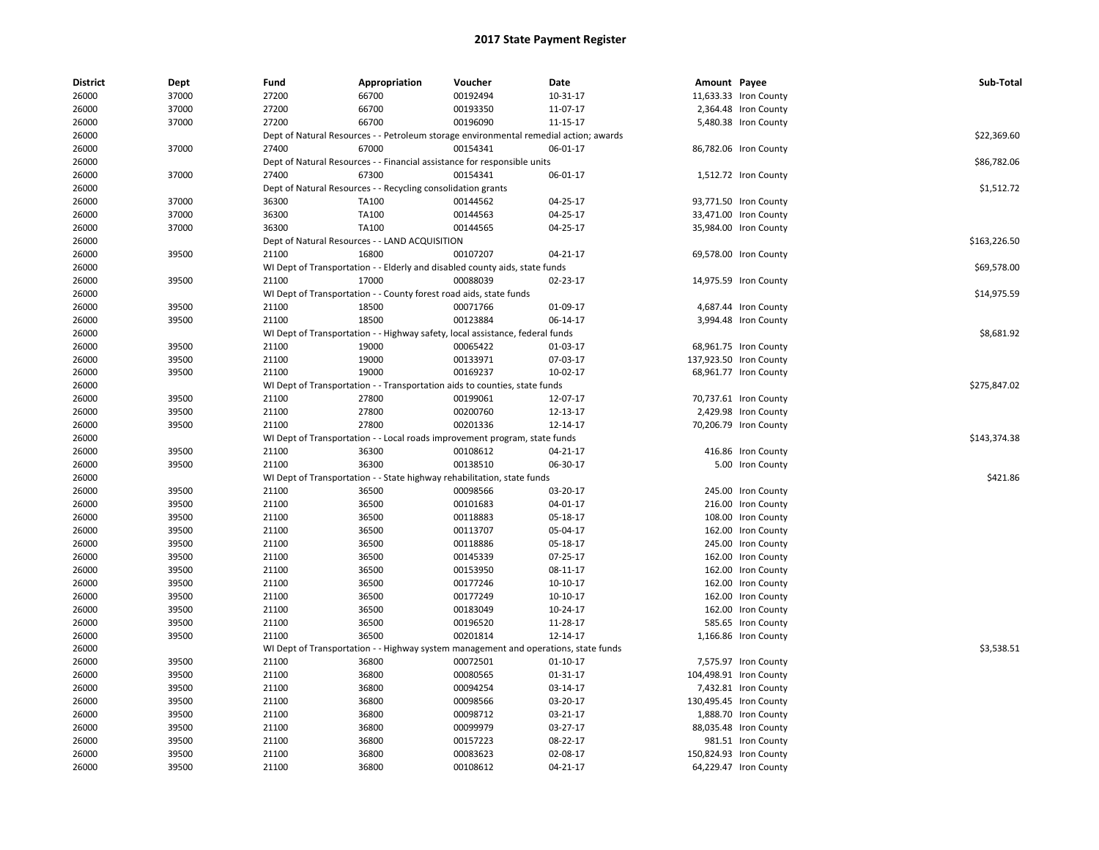| <b>District</b> | Dept  | Fund  | Appropriation                                                                         | Voucher  | Date           | Amount Payee |                        | Sub-Total    |
|-----------------|-------|-------|---------------------------------------------------------------------------------------|----------|----------------|--------------|------------------------|--------------|
| 26000           | 37000 | 27200 | 66700                                                                                 | 00192494 | 10-31-17       |              | 11,633.33 Iron County  |              |
| 26000           | 37000 | 27200 | 66700                                                                                 | 00193350 | 11-07-17       |              | 2,364.48 Iron County   |              |
| 26000           | 37000 | 27200 | 66700                                                                                 | 00196090 | 11-15-17       |              | 5,480.38 Iron County   |              |
| 26000           |       |       | Dept of Natural Resources - - Petroleum storage environmental remedial action; awards |          |                |              |                        | \$22,369.60  |
| 26000           | 37000 | 27400 | 67000                                                                                 | 00154341 | 06-01-17       |              | 86,782.06 Iron County  |              |
| 26000           |       |       | Dept of Natural Resources - - Financial assistance for responsible units              |          |                |              |                        | \$86,782.06  |
| 26000           | 37000 | 27400 | 67300                                                                                 | 00154341 | 06-01-17       |              | 1,512.72 Iron County   |              |
| 26000           |       |       | Dept of Natural Resources - - Recycling consolidation grants                          |          |                |              |                        | \$1,512.72   |
| 26000           | 37000 | 36300 | TA100                                                                                 | 00144562 | 04-25-17       |              | 93,771.50 Iron County  |              |
| 26000           | 37000 | 36300 | TA100                                                                                 | 00144563 | 04-25-17       |              | 33,471.00 Iron County  |              |
| 26000           | 37000 | 36300 | TA100                                                                                 | 00144565 | 04-25-17       |              | 35,984.00 Iron County  |              |
| 26000           |       |       | Dept of Natural Resources - - LAND ACQUISITION                                        |          |                |              |                        | \$163,226.50 |
| 26000           | 39500 | 21100 | 16800                                                                                 | 00107207 | 04-21-17       |              | 69,578.00 Iron County  |              |
| 26000           |       |       | WI Dept of Transportation - - Elderly and disabled county aids, state funds           |          |                |              |                        | \$69,578.00  |
| 26000           | 39500 | 21100 | 17000                                                                                 | 00088039 | 02-23-17       |              | 14,975.59 Iron County  |              |
| 26000           |       |       | WI Dept of Transportation - - County forest road aids, state funds                    |          |                |              |                        | \$14,975.59  |
| 26000           | 39500 | 21100 | 18500                                                                                 | 00071766 | 01-09-17       |              | 4,687.44 Iron County   |              |
| 26000           | 39500 | 21100 | 18500                                                                                 | 00123884 | 06-14-17       |              | 3,994.48 Iron County   |              |
| 26000           |       |       | WI Dept of Transportation - - Highway safety, local assistance, federal funds         |          |                |              |                        | \$8,681.92   |
| 26000           | 39500 | 21100 | 19000                                                                                 | 00065422 | 01-03-17       |              | 68,961.75 Iron County  |              |
| 26000           | 39500 | 21100 | 19000                                                                                 | 00133971 | 07-03-17       |              | 137,923.50 Iron County |              |
| 26000           | 39500 | 21100 | 19000                                                                                 | 00169237 | 10-02-17       |              | 68,961.77 Iron County  |              |
| 26000           |       |       | WI Dept of Transportation - - Transportation aids to counties, state funds            |          |                |              |                        | \$275,847.02 |
| 26000           | 39500 | 21100 | 27800                                                                                 | 00199061 | 12-07-17       |              | 70,737.61 Iron County  |              |
| 26000           | 39500 | 21100 | 27800                                                                                 | 00200760 | 12-13-17       |              | 2,429.98 Iron County   |              |
| 26000           | 39500 | 21100 | 27800                                                                                 | 00201336 | 12-14-17       |              | 70,206.79 Iron County  |              |
| 26000           |       |       | WI Dept of Transportation - - Local roads improvement program, state funds            |          |                |              |                        | \$143,374.38 |
| 26000           | 39500 | 21100 | 36300                                                                                 | 00108612 | 04-21-17       |              | 416.86 Iron County     |              |
| 26000           | 39500 | 21100 | 36300                                                                                 | 00138510 | 06-30-17       |              | 5.00 Iron County       |              |
| 26000           |       |       | WI Dept of Transportation - - State highway rehabilitation, state funds               |          |                |              |                        | \$421.86     |
| 26000           | 39500 | 21100 | 36500                                                                                 | 00098566 | 03-20-17       |              | 245.00 Iron County     |              |
| 26000           | 39500 | 21100 | 36500                                                                                 | 00101683 | 04-01-17       |              | 216.00 Iron County     |              |
| 26000           | 39500 | 21100 | 36500                                                                                 | 00118883 | 05-18-17       |              | 108.00 Iron County     |              |
| 26000           | 39500 | 21100 | 36500                                                                                 | 00113707 | 05-04-17       |              | 162.00 Iron County     |              |
| 26000           | 39500 | 21100 | 36500                                                                                 | 00118886 | 05-18-17       |              | 245.00 Iron County     |              |
| 26000           | 39500 | 21100 | 36500                                                                                 | 00145339 | 07-25-17       |              | 162.00 Iron County     |              |
| 26000           | 39500 | 21100 | 36500                                                                                 | 00153950 | 08-11-17       |              | 162.00 Iron County     |              |
| 26000           | 39500 | 21100 | 36500                                                                                 | 00177246 | 10-10-17       |              | 162.00 Iron County     |              |
| 26000           | 39500 | 21100 | 36500                                                                                 | 00177249 | $10-10-17$     |              | 162.00 Iron County     |              |
| 26000           | 39500 | 21100 | 36500                                                                                 | 00183049 | 10-24-17       |              | 162.00 Iron County     |              |
| 26000           | 39500 | 21100 | 36500                                                                                 | 00196520 | 11-28-17       |              | 585.65 Iron County     |              |
| 26000           | 39500 | 21100 | 36500                                                                                 | 00201814 | 12-14-17       |              | 1,166.86 Iron County   |              |
| 26000           |       |       | WI Dept of Transportation - - Highway system management and operations, state funds   |          |                |              |                        | \$3,538.51   |
| 26000           | 39500 | 21100 | 36800                                                                                 | 00072501 | $01 - 10 - 17$ |              | 7,575.97 Iron County   |              |
| 26000           | 39500 | 21100 | 36800                                                                                 | 00080565 | 01-31-17       |              | 104,498.91 Iron County |              |
| 26000           | 39500 | 21100 | 36800                                                                                 | 00094254 | 03-14-17       |              | 7,432.81 Iron County   |              |
| 26000           | 39500 | 21100 | 36800                                                                                 | 00098566 | 03-20-17       |              | 130,495.45 Iron County |              |
| 26000           | 39500 | 21100 | 36800                                                                                 | 00098712 | 03-21-17       |              | 1,888.70 Iron County   |              |
| 26000           | 39500 | 21100 | 36800                                                                                 | 00099979 | 03-27-17       |              | 88,035.48 Iron County  |              |
| 26000           | 39500 | 21100 | 36800                                                                                 | 00157223 | 08-22-17       |              | 981.51 Iron County     |              |
| 26000           | 39500 | 21100 | 36800                                                                                 | 00083623 | 02-08-17       |              | 150,824.93 Iron County |              |
| 26000           | 39500 | 21100 | 36800                                                                                 | 00108612 | 04-21-17       |              | 64,229.47 Iron County  |              |
|                 |       |       |                                                                                       |          |                |              |                        |              |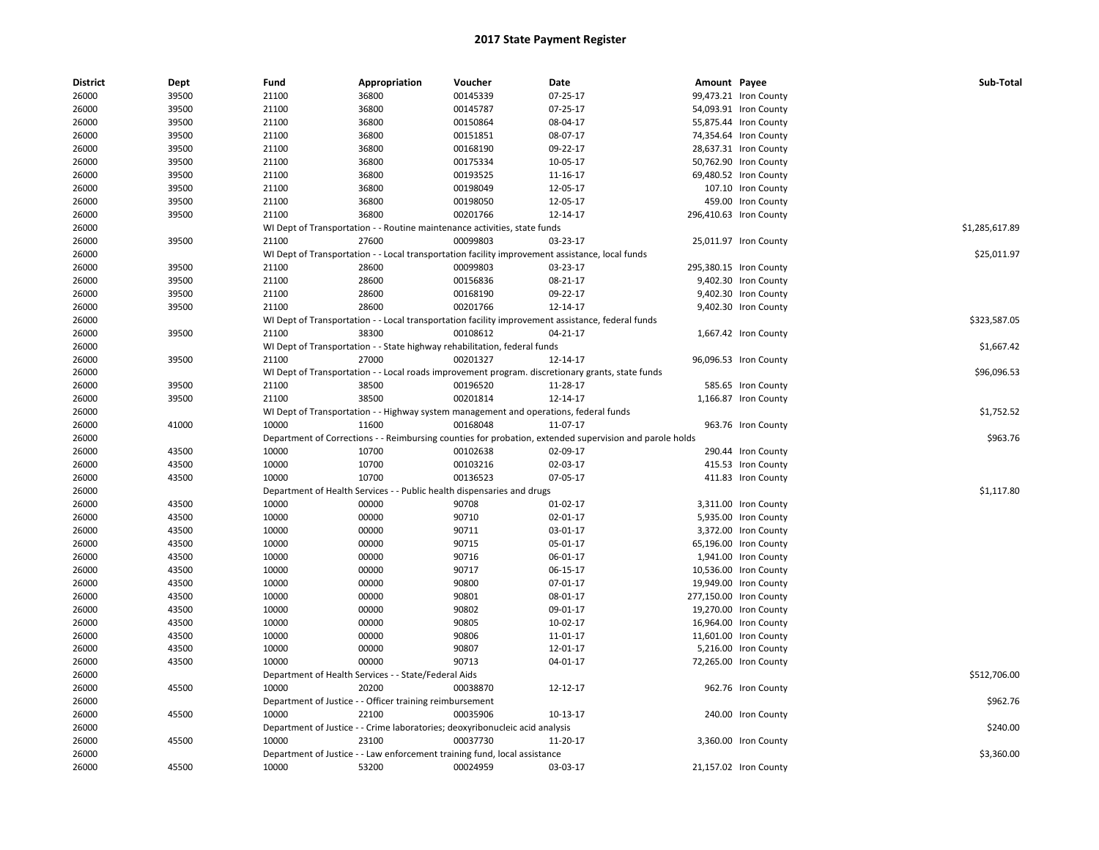| <b>District</b> | Dept  | Fund  | Appropriation                                            | Voucher                                                                               | Date                                                                                                    | Amount Payee |                        | Sub-Total      |
|-----------------|-------|-------|----------------------------------------------------------|---------------------------------------------------------------------------------------|---------------------------------------------------------------------------------------------------------|--------------|------------------------|----------------|
| 26000           | 39500 | 21100 | 36800                                                    | 00145339                                                                              | 07-25-17                                                                                                |              | 99,473.21 Iron County  |                |
| 26000           | 39500 | 21100 | 36800                                                    | 00145787                                                                              | 07-25-17                                                                                                |              | 54,093.91 Iron County  |                |
| 26000           | 39500 | 21100 | 36800                                                    | 00150864                                                                              | 08-04-17                                                                                                |              | 55,875.44 Iron County  |                |
| 26000           | 39500 | 21100 | 36800                                                    | 00151851                                                                              | 08-07-17                                                                                                |              | 74,354.64 Iron County  |                |
| 26000           | 39500 | 21100 | 36800                                                    | 00168190                                                                              | 09-22-17                                                                                                |              | 28,637.31 Iron County  |                |
| 26000           | 39500 | 21100 | 36800                                                    | 00175334                                                                              | 10-05-17                                                                                                |              | 50,762.90 Iron County  |                |
| 26000           | 39500 | 21100 | 36800                                                    | 00193525                                                                              | 11-16-17                                                                                                |              | 69,480.52 Iron County  |                |
| 26000           | 39500 | 21100 | 36800                                                    | 00198049                                                                              | 12-05-17                                                                                                |              | 107.10 Iron County     |                |
| 26000           | 39500 | 21100 | 36800                                                    | 00198050                                                                              | 12-05-17                                                                                                |              | 459.00 Iron County     |                |
| 26000           | 39500 | 21100 | 36800                                                    | 00201766                                                                              | 12-14-17                                                                                                |              | 296,410.63 Iron County |                |
| 26000           |       |       |                                                          | WI Dept of Transportation - - Routine maintenance activities, state funds             |                                                                                                         |              |                        | \$1,285,617.89 |
| 26000           | 39500 | 21100 | 27600                                                    | 00099803                                                                              | 03-23-17                                                                                                |              | 25,011.97 Iron County  |                |
| 26000           |       |       |                                                          |                                                                                       | WI Dept of Transportation - - Local transportation facility improvement assistance, local funds         |              |                        | \$25,011.97    |
| 26000           | 39500 | 21100 | 28600                                                    | 00099803                                                                              | 03-23-17                                                                                                |              | 295,380.15 Iron County |                |
| 26000           | 39500 | 21100 | 28600                                                    | 00156836                                                                              | 08-21-17                                                                                                |              | 9,402.30 Iron County   |                |
| 26000           | 39500 | 21100 | 28600                                                    | 00168190                                                                              | 09-22-17                                                                                                |              | 9,402.30 Iron County   |                |
| 26000           | 39500 | 21100 | 28600                                                    | 00201766                                                                              | 12-14-17                                                                                                |              | 9,402.30 Iron County   |                |
| 26000           |       |       |                                                          |                                                                                       | WI Dept of Transportation - - Local transportation facility improvement assistance, federal funds       |              |                        | \$323,587.05   |
| 26000           | 39500 | 21100 | 38300                                                    | 00108612                                                                              | 04-21-17                                                                                                |              | 1,667.42 Iron County   |                |
| 26000           |       |       |                                                          | WI Dept of Transportation - - State highway rehabilitation, federal funds             |                                                                                                         |              |                        | \$1,667.42     |
| 26000           | 39500 | 21100 | 27000                                                    | 00201327                                                                              | 12-14-17                                                                                                |              | 96,096.53 Iron County  |                |
| 26000           |       |       |                                                          |                                                                                       | WI Dept of Transportation - - Local roads improvement program. discretionary grants, state funds        |              |                        | \$96,096.53    |
| 26000           | 39500 | 21100 | 38500                                                    | 00196520                                                                              | 11-28-17                                                                                                |              | 585.65 Iron County     |                |
| 26000           | 39500 | 21100 | 38500                                                    | 00201814                                                                              | 12-14-17                                                                                                |              | 1,166.87 Iron County   |                |
| 26000           |       |       |                                                          | WI Dept of Transportation - - Highway system management and operations, federal funds |                                                                                                         |              |                        | \$1,752.52     |
| 26000           | 41000 | 10000 | 11600                                                    | 00168048                                                                              | 11-07-17                                                                                                |              | 963.76 Iron County     |                |
| 26000           |       |       |                                                          |                                                                                       | Department of Corrections - - Reimbursing counties for probation, extended supervision and parole holds |              |                        | \$963.76       |
| 26000           | 43500 | 10000 | 10700                                                    | 00102638                                                                              | 02-09-17                                                                                                |              | 290.44 Iron County     |                |
|                 | 43500 | 10000 | 10700                                                    |                                                                                       | 02-03-17                                                                                                |              |                        |                |
| 26000           |       | 10000 | 10700                                                    | 00103216<br>00136523                                                                  |                                                                                                         |              | 415.53 Iron County     |                |
| 26000           | 43500 |       |                                                          |                                                                                       | 07-05-17                                                                                                |              | 411.83 Iron County     |                |
| 26000           |       |       |                                                          | Department of Health Services - - Public health dispensaries and drugs                |                                                                                                         |              |                        | \$1,117.80     |
| 26000           | 43500 | 10000 | 00000                                                    | 90708                                                                                 | 01-02-17                                                                                                |              | 3,311.00 Iron County   |                |
| 26000           | 43500 | 10000 | 00000                                                    | 90710                                                                                 | 02-01-17                                                                                                |              | 5,935.00 Iron County   |                |
| 26000           | 43500 | 10000 | 00000                                                    | 90711                                                                                 | 03-01-17                                                                                                |              | 3,372.00 Iron County   |                |
| 26000           | 43500 | 10000 | 00000                                                    | 90715                                                                                 | 05-01-17                                                                                                |              | 65,196.00 Iron County  |                |
| 26000           | 43500 | 10000 | 00000                                                    | 90716                                                                                 | 06-01-17                                                                                                |              | 1,941.00 Iron County   |                |
| 26000           | 43500 | 10000 | 00000                                                    | 90717                                                                                 | 06-15-17                                                                                                |              | 10,536.00 Iron County  |                |
| 26000           | 43500 | 10000 | 00000                                                    | 90800                                                                                 | 07-01-17                                                                                                |              | 19,949.00 Iron County  |                |
| 26000           | 43500 | 10000 | 00000                                                    | 90801                                                                                 | 08-01-17                                                                                                |              | 277,150.00 Iron County |                |
| 26000           | 43500 | 10000 | 00000                                                    | 90802                                                                                 | 09-01-17                                                                                                |              | 19,270.00 Iron County  |                |
| 26000           | 43500 | 10000 | 00000                                                    | 90805                                                                                 | 10-02-17                                                                                                |              | 16,964.00 Iron County  |                |
| 26000           | 43500 | 10000 | 00000                                                    | 90806                                                                                 | 11-01-17                                                                                                |              | 11,601.00 Iron County  |                |
| 26000           | 43500 | 10000 | 00000                                                    | 90807                                                                                 | 12-01-17                                                                                                |              | 5,216.00 Iron County   |                |
| 26000           | 43500 | 10000 | 00000                                                    | 90713                                                                                 | 04-01-17                                                                                                |              | 72,265.00 Iron County  |                |
| 26000           |       |       | Department of Health Services - - State/Federal Aids     |                                                                                       |                                                                                                         |              |                        | \$512,706.00   |
| 26000           | 45500 | 10000 | 20200                                                    | 00038870                                                                              | 12-12-17                                                                                                |              | 962.76 Iron County     |                |
| 26000           |       |       | Department of Justice - - Officer training reimbursement |                                                                                       |                                                                                                         |              |                        | \$962.76       |
| 26000           | 45500 | 10000 | 22100                                                    | 00035906                                                                              | 10-13-17                                                                                                |              | 240.00 Iron County     |                |
| 26000           |       |       |                                                          | Department of Justice - - Crime laboratories; deoxyribonucleic acid analysis          |                                                                                                         |              |                        | \$240.00       |
| 26000           | 45500 | 10000 | 23100                                                    | 00037730                                                                              | 11-20-17                                                                                                |              | 3,360.00 Iron County   |                |
| 26000           |       |       |                                                          | Department of Justice - - Law enforcement training fund, local assistance             |                                                                                                         |              |                        | \$3,360.00     |
| 26000           | 45500 | 10000 | 53200                                                    | 00024959                                                                              | 03-03-17                                                                                                |              | 21,157.02 Iron County  |                |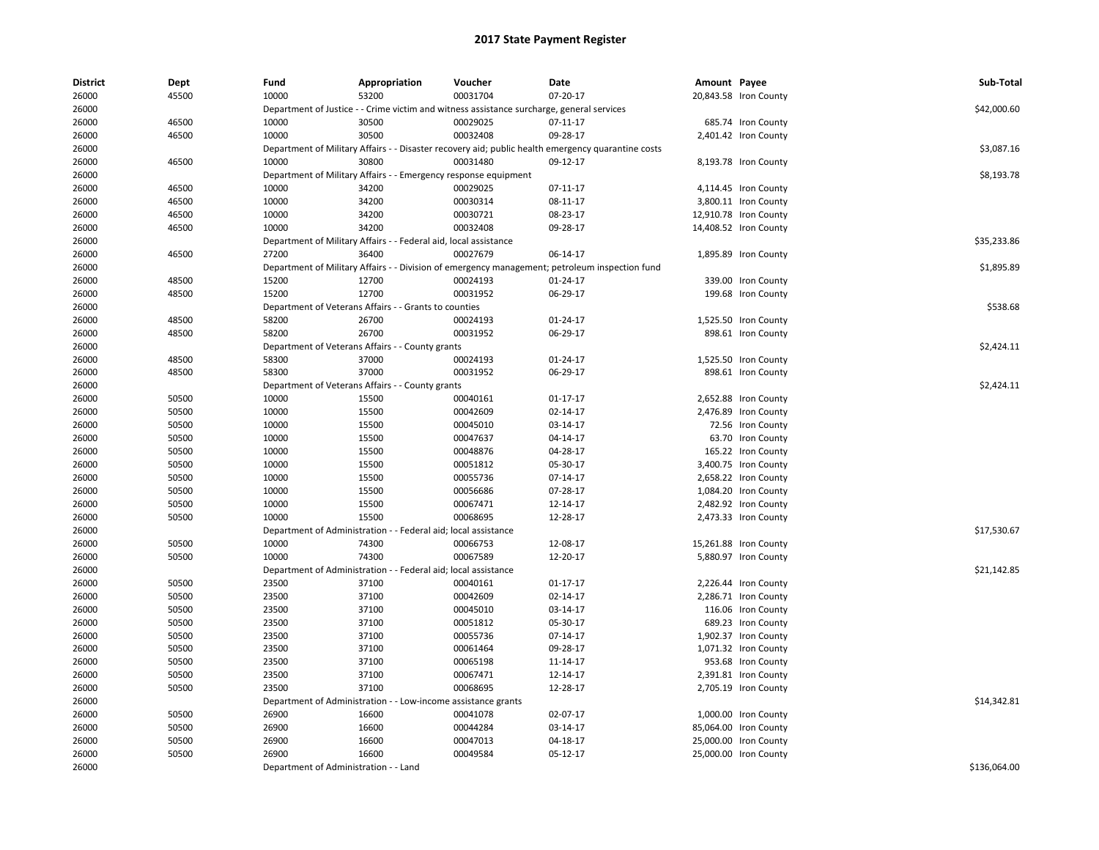| <b>District</b> | Dept  | Fund                                  | Appropriation                                                                             | Voucher                         | Date                                                                                               | Amount Payee |                       | Sub-Total    |
|-----------------|-------|---------------------------------------|-------------------------------------------------------------------------------------------|---------------------------------|----------------------------------------------------------------------------------------------------|--------------|-----------------------|--------------|
| 26000           | 45500 | 10000                                 | 53200                                                                                     | 00031704                        | 07-20-17                                                                                           |              | 20,843.58 Iron County |              |
| 26000           |       |                                       | Department of Justice - - Crime victim and witness assistance surcharge, general services |                                 |                                                                                                    |              |                       | \$42,000.60  |
| 26000           | 46500 | 10000                                 | 30500                                                                                     | 00029025                        | 07-11-17                                                                                           |              | 685.74 Iron County    |              |
| 26000           | 46500 | 10000                                 | 30500                                                                                     | 00032408                        | 09-28-17                                                                                           |              | 2,401.42 Iron County  |              |
| 26000           |       |                                       |                                                                                           |                                 | Department of Military Affairs - - Disaster recovery aid; public health emergency quarantine costs |              |                       | \$3,087.16   |
| 26000           | 46500 | 10000                                 | 30800                                                                                     | 00031480                        | 09-12-17                                                                                           |              | 8,193.78 Iron County  |              |
| 26000           |       |                                       | Department of Military Affairs - - Emergency response equipment                           |                                 |                                                                                                    |              |                       | \$8,193.78   |
| 26000           | 46500 | 10000                                 | 34200                                                                                     | 00029025                        | 07-11-17                                                                                           |              | 4,114.45 Iron County  |              |
| 26000           | 46500 | 10000                                 | 34200                                                                                     | 00030314                        | 08-11-17                                                                                           |              | 3,800.11 Iron County  |              |
| 26000           | 46500 | 10000                                 | 34200                                                                                     | 00030721                        | 08-23-17                                                                                           |              | 12,910.78 Iron County |              |
| 26000           | 46500 | 10000                                 | 34200                                                                                     | 00032408                        | 09-28-17                                                                                           |              | 14,408.52 Iron County |              |
| 26000           |       |                                       | Department of Military Affairs - - Federal aid, local assistance                          |                                 |                                                                                                    |              |                       | \$35,233.86  |
| 26000           | 46500 | 27200                                 | 36400                                                                                     | 00027679                        | 06-14-17                                                                                           |              | 1,895.89 Iron County  |              |
| 26000           |       |                                       |                                                                                           |                                 | Department of Military Affairs - - Division of emergency management; petroleum inspection fund     |              |                       | \$1,895.89   |
| 26000           | 48500 | 15200                                 | 12700                                                                                     | 00024193                        | 01-24-17                                                                                           |              | 339.00 Iron County    |              |
| 26000           | 48500 | 15200                                 | 12700                                                                                     | 00031952                        | 06-29-17                                                                                           |              | 199.68 Iron County    |              |
| 26000           |       |                                       | Department of Veterans Affairs - - Grants to counties                                     |                                 |                                                                                                    |              |                       | \$538.68     |
| 26000           | 48500 | 58200                                 | 26700                                                                                     | 00024193                        | 01-24-17                                                                                           |              | 1,525.50 Iron County  |              |
| 26000           | 48500 | 58200                                 | 26700                                                                                     | 00031952                        | 06-29-17                                                                                           |              | 898.61 Iron County    |              |
| 26000           |       |                                       | Department of Veterans Affairs - - County grants                                          |                                 |                                                                                                    |              |                       | \$2,424.11   |
| 26000           | 48500 | 58300                                 | 37000                                                                                     | 00024193                        | 01-24-17                                                                                           |              | 1,525.50 Iron County  |              |
| 26000           | 48500 | 58300                                 | 37000                                                                                     | 00031952                        | 06-29-17                                                                                           |              | 898.61 Iron County    |              |
| 26000           |       |                                       | Department of Veterans Affairs - - County grants                                          |                                 |                                                                                                    |              |                       | \$2,424.11   |
| 26000           | 50500 | 10000                                 | 15500                                                                                     | 00040161                        | 01-17-17                                                                                           |              | 2,652.88 Iron County  |              |
| 26000           | 50500 | 10000                                 | 15500                                                                                     | 00042609                        | 02-14-17                                                                                           |              | 2,476.89 Iron County  |              |
| 26000           | 50500 | 10000                                 | 15500                                                                                     | 00045010                        | 03-14-17                                                                                           |              | 72.56 Iron County     |              |
| 26000           | 50500 | 10000                                 | 15500                                                                                     | 00047637                        | 04-14-17                                                                                           |              | 63.70 Iron County     |              |
| 26000           | 50500 | 10000                                 | 15500                                                                                     | 00048876                        | 04-28-17                                                                                           |              | 165.22 Iron County    |              |
| 26000           | 50500 | 10000                                 | 15500                                                                                     | 00051812                        | 05-30-17                                                                                           |              | 3,400.75 Iron County  |              |
| 26000           | 50500 | 10000                                 | 15500                                                                                     | 00055736                        | $07 - 14 - 17$                                                                                     |              | 2,658.22 Iron County  |              |
| 26000           | 50500 | 10000                                 | 15500                                                                                     | 00056686                        | 07-28-17                                                                                           |              | 1,084.20 Iron County  |              |
| 26000           | 50500 | 10000                                 | 15500                                                                                     | 00067471                        | 12-14-17                                                                                           |              | 2,482.92 Iron County  |              |
| 26000           | 50500 | 10000                                 | 15500                                                                                     | 00068695                        | 12-28-17                                                                                           |              | 2,473.33 Iron County  |              |
| 26000           |       | Department of Administration          |                                                                                           | Federal aid; local assistance   |                                                                                                    |              |                       | \$17,530.67  |
| 26000           | 50500 | 10000                                 | 74300                                                                                     | 00066753                        | 12-08-17                                                                                           |              | 15,261.88 Iron County |              |
| 26000           | 50500 | 10000                                 | 74300                                                                                     | 00067589                        | 12-20-17                                                                                           |              | 5,880.97 Iron County  |              |
| 26000           |       | Department of Administration -        |                                                                                           | - Federal aid; local assistance |                                                                                                    |              |                       | \$21,142.85  |
| 26000           | 50500 | 23500                                 | 37100                                                                                     | 00040161                        | 01-17-17                                                                                           |              | 2,226.44 Iron County  |              |
| 26000           | 50500 | 23500                                 | 37100                                                                                     | 00042609                        | 02-14-17                                                                                           |              | 2,286.71 Iron County  |              |
| 26000           | 50500 | 23500                                 | 37100                                                                                     | 00045010                        | 03-14-17                                                                                           |              | 116.06 Iron County    |              |
| 26000           | 50500 | 23500                                 | 37100                                                                                     | 00051812                        | 05-30-17                                                                                           |              | 689.23 Iron County    |              |
| 26000           | 50500 | 23500                                 | 37100                                                                                     | 00055736                        | 07-14-17                                                                                           |              | 1,902.37 Iron County  |              |
| 26000           | 50500 | 23500                                 | 37100                                                                                     | 00061464                        | 09-28-17                                                                                           |              | 1,071.32 Iron County  |              |
| 26000           | 50500 | 23500                                 | 37100                                                                                     | 00065198                        | 11-14-17                                                                                           |              | 953.68 Iron County    |              |
| 26000           | 50500 | 23500                                 | 37100                                                                                     | 00067471                        | 12-14-17                                                                                           |              | 2,391.81 Iron County  |              |
| 26000           | 50500 | 23500                                 | 37100                                                                                     | 00068695                        | 12-28-17                                                                                           |              | 2,705.19 Iron County  |              |
| 26000           |       |                                       | Department of Administration - - Low-income assistance grants                             |                                 |                                                                                                    |              |                       | \$14,342.81  |
| 26000           | 50500 | 26900                                 | 16600                                                                                     | 00041078                        | 02-07-17                                                                                           |              | 1,000.00 Iron County  |              |
| 26000           | 50500 | 26900                                 | 16600                                                                                     | 00044284                        | 03-14-17                                                                                           |              | 85,064.00 Iron County |              |
| 26000           | 50500 | 26900                                 | 16600                                                                                     | 00047013                        | 04-18-17                                                                                           |              | 25,000.00 Iron County |              |
| 26000           | 50500 | 26900                                 | 16600                                                                                     | 00049584                        | 05-12-17                                                                                           |              | 25,000.00 Iron County |              |
| 26000           |       | Department of Administration - - Land |                                                                                           |                                 |                                                                                                    |              |                       | \$136,064.00 |
|                 |       |                                       |                                                                                           |                                 |                                                                                                    |              |                       |              |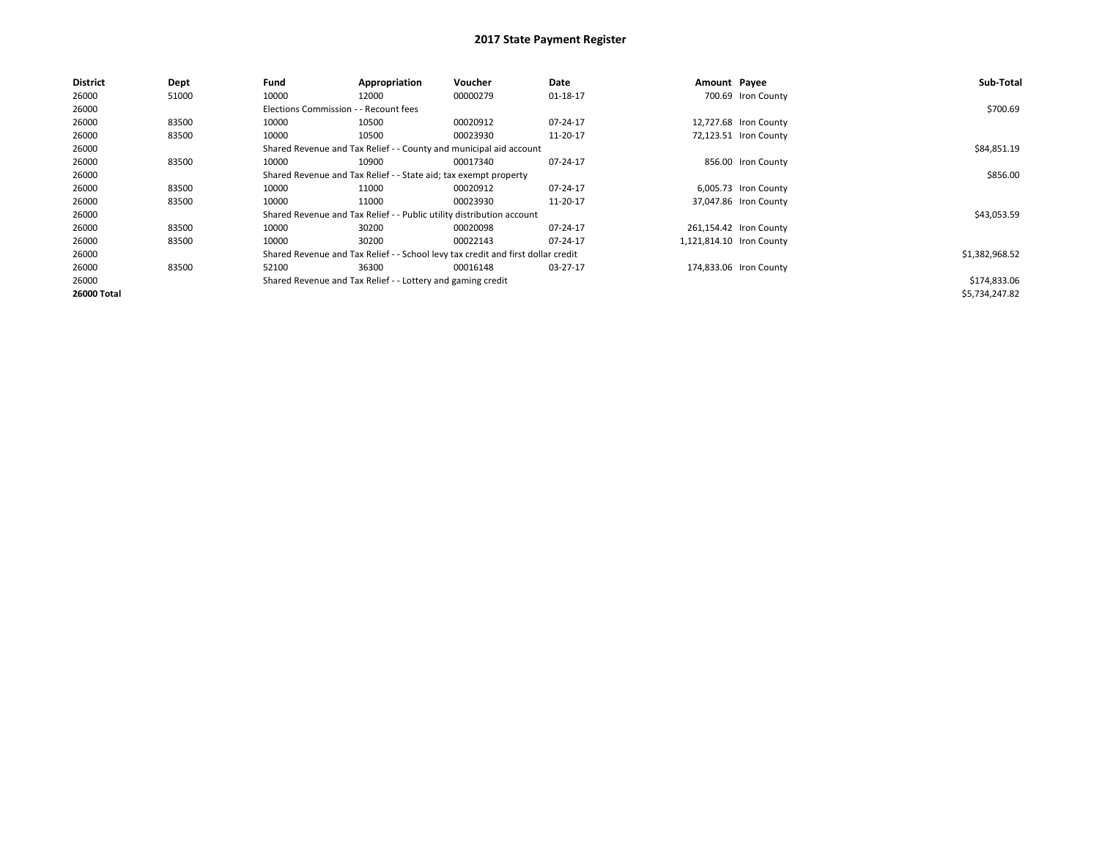| <b>District</b> | Dept  | Fund                                                             | Appropriation                                                                    | <b>Voucher</b> | Date     | Amount Payee |                          | Sub-Total      |  |  |
|-----------------|-------|------------------------------------------------------------------|----------------------------------------------------------------------------------|----------------|----------|--------------|--------------------------|----------------|--|--|
| 26000           | 51000 | 10000                                                            | 12000                                                                            | 00000279       | 01-18-17 |              | 700.69 Iron County       |                |  |  |
| 26000           |       | Elections Commission - - Recount fees                            |                                                                                  |                |          |              |                          | \$700.69       |  |  |
| 26000           | 83500 | 10000                                                            | 10500                                                                            | 00020912       | 07-24-17 |              | 12,727.68 Iron County    |                |  |  |
| 26000           | 83500 | 10000                                                            | 10500                                                                            | 00023930       | 11-20-17 |              | 72,123.51 Iron County    |                |  |  |
| 26000           |       |                                                                  | Shared Revenue and Tax Relief - - County and municipal aid account               |                |          |              |                          |                |  |  |
| 26000           | 83500 | 10000                                                            | 10900                                                                            | 00017340       | 07-24-17 |              | 856.00 Iron County       |                |  |  |
| 26000           |       | Shared Revenue and Tax Relief - - State aid; tax exempt property |                                                                                  | \$856.00       |          |              |                          |                |  |  |
| 26000           | 83500 | 10000                                                            | 11000                                                                            | 00020912       | 07-24-17 |              | 6,005.73 Iron County     |                |  |  |
| 26000           | 83500 | 10000                                                            | 11000                                                                            | 00023930       | 11-20-17 |              | 37,047.86 Iron County    |                |  |  |
| 26000           |       |                                                                  | Shared Revenue and Tax Relief - - Public utility distribution account            |                |          |              |                          | \$43,053.59    |  |  |
| 26000           | 83500 | 10000                                                            | 30200                                                                            | 00020098       | 07-24-17 |              | 261,154.42 Iron County   |                |  |  |
| 26000           | 83500 | 10000                                                            | 30200                                                                            | 00022143       | 07-24-17 |              | 1,121,814.10 Iron County |                |  |  |
| 26000           |       |                                                                  | Shared Revenue and Tax Relief - - School levy tax credit and first dollar credit |                |          |              |                          | \$1,382,968.52 |  |  |
| 26000           | 83500 | 52100                                                            | 36300                                                                            | 00016148       | 03-27-17 |              | 174,833.06 Iron County   |                |  |  |
| 26000           |       |                                                                  | Shared Revenue and Tax Relief - - Lottery and gaming credit                      |                |          |              |                          | \$174,833.06   |  |  |
| 26000 Total     |       |                                                                  |                                                                                  |                |          |              |                          | \$5,734,247.82 |  |  |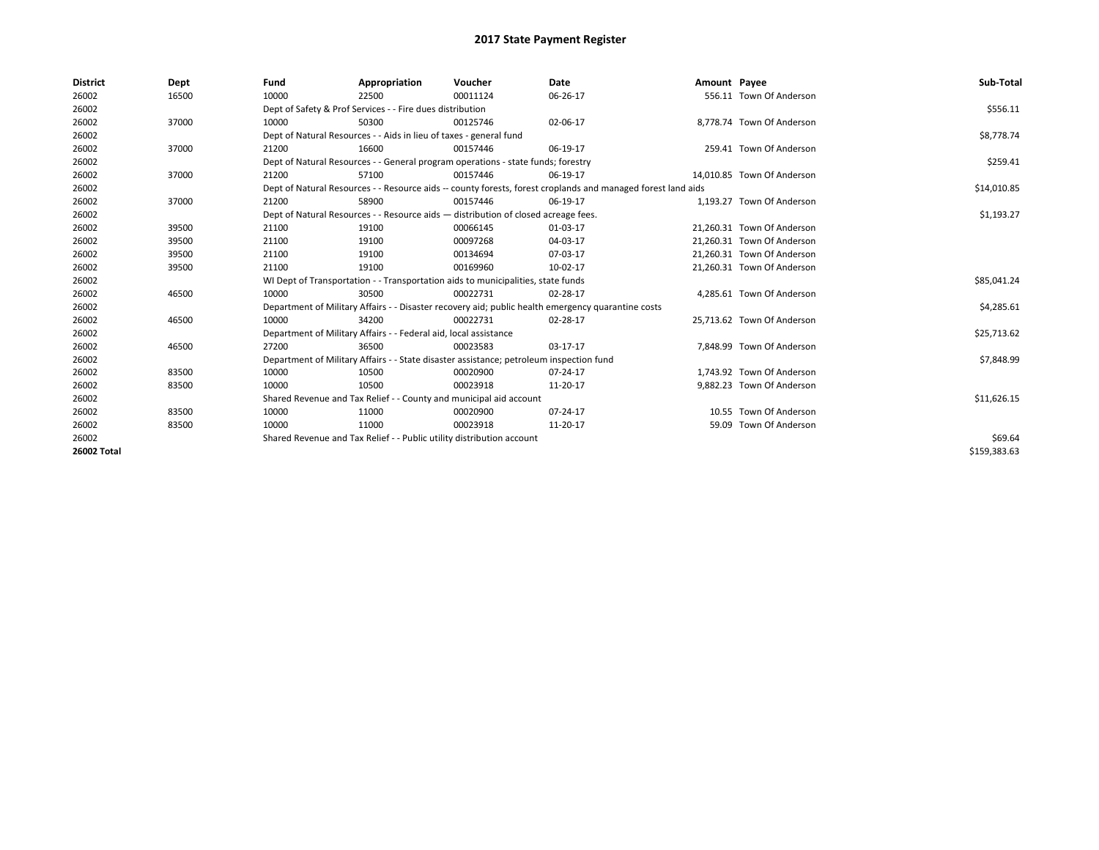| <b>District</b>    | Dept  | Fund  | Appropriation                                                                           | Voucher  | Date                                                                                                         | Amount Payee |                            | Sub-Total    |  |
|--------------------|-------|-------|-----------------------------------------------------------------------------------------|----------|--------------------------------------------------------------------------------------------------------------|--------------|----------------------------|--------------|--|
| 26002              | 16500 | 10000 | 22500                                                                                   | 00011124 | 06-26-17                                                                                                     |              | 556.11 Town Of Anderson    |              |  |
| 26002              |       |       | Dept of Safety & Prof Services - - Fire dues distribution                               |          |                                                                                                              |              |                            | \$556.11     |  |
| 26002              | 37000 | 10000 | 50300                                                                                   | 00125746 | 02-06-17                                                                                                     |              | 8,778.74 Town Of Anderson  |              |  |
| 26002              |       |       | Dept of Natural Resources - - Aids in lieu of taxes - general fund                      |          |                                                                                                              |              |                            | \$8,778.74   |  |
| 26002              | 37000 | 21200 | 16600                                                                                   | 00157446 | 06-19-17                                                                                                     |              | 259.41 Town Of Anderson    |              |  |
| 26002              |       |       | Dept of Natural Resources - - General program operations - state funds; forestry        |          |                                                                                                              |              |                            | \$259.41     |  |
| 26002              | 37000 | 21200 | 57100                                                                                   | 00157446 | 06-19-17                                                                                                     |              | 14,010.85 Town Of Anderson |              |  |
| 26002              |       |       |                                                                                         |          | Dept of Natural Resources - - Resource aids -- county forests, forest croplands and managed forest land aids |              |                            | \$14,010.85  |  |
| 26002              | 37000 | 21200 | 58900                                                                                   | 00157446 | 06-19-17                                                                                                     |              | 1,193.27 Town Of Anderson  |              |  |
| 26002              |       |       | Dept of Natural Resources - - Resource aids - distribution of closed acreage fees.      |          |                                                                                                              |              |                            |              |  |
| 26002              | 39500 | 21100 | 19100                                                                                   | 00066145 | 01-03-17                                                                                                     |              | 21.260.31 Town Of Anderson |              |  |
| 26002              | 39500 | 21100 | 19100                                                                                   | 00097268 | 04-03-17                                                                                                     |              | 21.260.31 Town Of Anderson |              |  |
| 26002              | 39500 | 21100 | 19100                                                                                   | 00134694 | 07-03-17                                                                                                     |              | 21,260.31 Town Of Anderson |              |  |
| 26002              | 39500 | 21100 | 19100                                                                                   | 00169960 | 10-02-17                                                                                                     |              | 21,260.31 Town Of Anderson |              |  |
| 26002              |       |       | WI Dept of Transportation - - Transportation aids to municipalities, state funds        |          |                                                                                                              |              |                            | \$85,041.24  |  |
| 26002              | 46500 | 10000 | 30500                                                                                   | 00022731 | 02-28-17                                                                                                     |              | 4,285.61 Town Of Anderson  |              |  |
| 26002              |       |       |                                                                                         |          | Department of Military Affairs - - Disaster recovery aid; public health emergency quarantine costs           |              |                            | \$4,285.61   |  |
| 26002              | 46500 | 10000 | 34200                                                                                   | 00022731 | 02-28-17                                                                                                     |              | 25,713.62 Town Of Anderson |              |  |
| 26002              |       |       | Department of Military Affairs - - Federal aid, local assistance                        |          |                                                                                                              |              |                            | \$25,713.62  |  |
| 26002              | 46500 | 27200 | 36500                                                                                   | 00023583 | 03-17-17                                                                                                     |              | 7,848.99 Town Of Anderson  |              |  |
| 26002              |       |       | Department of Military Affairs - - State disaster assistance; petroleum inspection fund |          |                                                                                                              |              |                            | \$7,848.99   |  |
| 26002              | 83500 | 10000 | 10500                                                                                   | 00020900 | 07-24-17                                                                                                     |              | 1.743.92 Town Of Anderson  |              |  |
| 26002              | 83500 | 10000 | 10500                                                                                   | 00023918 | 11-20-17                                                                                                     |              | 9,882.23 Town Of Anderson  |              |  |
| 26002              |       |       | Shared Revenue and Tax Relief - - County and municipal aid account                      |          |                                                                                                              |              |                            | \$11,626.15  |  |
| 26002              | 83500 | 10000 | 11000                                                                                   | 00020900 | 07-24-17                                                                                                     |              | 10.55 Town Of Anderson     |              |  |
| 26002              | 83500 | 10000 | 11000                                                                                   | 00023918 | 11-20-17                                                                                                     |              | 59.09 Town Of Anderson     |              |  |
| 26002              |       |       | Shared Revenue and Tax Relief - - Public utility distribution account                   |          |                                                                                                              |              |                            |              |  |
| <b>26002 Total</b> |       |       |                                                                                         |          |                                                                                                              |              |                            | \$159.383.63 |  |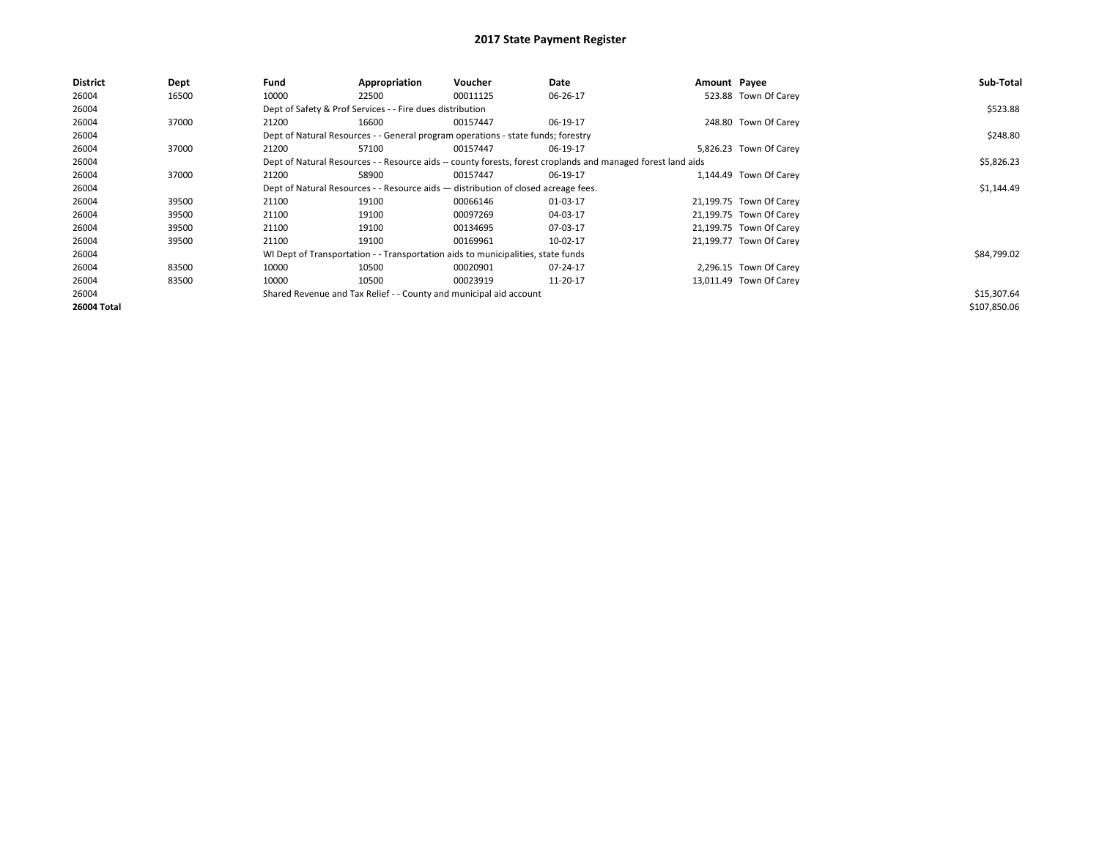| <b>District</b>    | <b>Dept</b> | Fund  | Appropriation                                                                                                | Voucher  | Date     | Amount Payee |                         | Sub-Total    |  |  |
|--------------------|-------------|-------|--------------------------------------------------------------------------------------------------------------|----------|----------|--------------|-------------------------|--------------|--|--|
| 26004              | 16500       | 10000 | 22500                                                                                                        | 00011125 | 06-26-17 |              | 523.88 Town Of Carey    |              |  |  |
| 26004              |             |       | Dept of Safety & Prof Services - - Fire dues distribution                                                    |          |          |              |                         | \$523.88     |  |  |
| 26004              | 37000       | 21200 | 16600                                                                                                        | 00157447 | 06-19-17 |              | 248.80 Town Of Carey    |              |  |  |
| 26004              |             |       | Dept of Natural Resources - - General program operations - state funds; forestry                             |          |          |              |                         |              |  |  |
| 26004              | 37000       | 21200 | 57100                                                                                                        | 00157447 | 06-19-17 |              | 5,826.23 Town Of Carey  |              |  |  |
| 26004              |             |       | Dept of Natural Resources - - Resource aids -- county forests, forest croplands and managed forest land aids |          |          |              |                         | \$5,826.23   |  |  |
| 26004              | 37000       | 21200 | 58900                                                                                                        | 00157447 | 06-19-17 |              | 1,144.49 Town Of Carey  |              |  |  |
| 26004              |             |       | Dept of Natural Resources - - Resource aids - distribution of closed acreage fees.                           |          |          |              |                         |              |  |  |
| 26004              | 39500       | 21100 | 19100                                                                                                        | 00066146 | 01-03-17 |              | 21,199.75 Town Of Carey |              |  |  |
| 26004              | 39500       | 21100 | 19100                                                                                                        | 00097269 | 04-03-17 |              | 21,199.75 Town Of Carey |              |  |  |
| 26004              | 39500       | 21100 | 19100                                                                                                        | 00134695 | 07-03-17 |              | 21,199.75 Town Of Carey |              |  |  |
| 26004              | 39500       | 21100 | 19100                                                                                                        | 00169961 | 10-02-17 |              | 21,199.77 Town Of Carey |              |  |  |
| 26004              |             |       | WI Dept of Transportation - - Transportation aids to municipalities, state funds                             |          |          |              |                         | \$84,799.02  |  |  |
| 26004              | 83500       | 10000 | 10500                                                                                                        | 00020901 | 07-24-17 |              | 2,296.15 Town Of Carey  |              |  |  |
| 26004              | 83500       | 10000 | 10500                                                                                                        | 00023919 | 11-20-17 |              | 13,011.49 Town Of Carey |              |  |  |
| 26004              |             |       | Shared Revenue and Tax Relief - - County and municipal aid account                                           |          |          |              |                         | \$15,307.64  |  |  |
| <b>26004 Total</b> |             |       |                                                                                                              |          |          |              |                         | \$107,850.06 |  |  |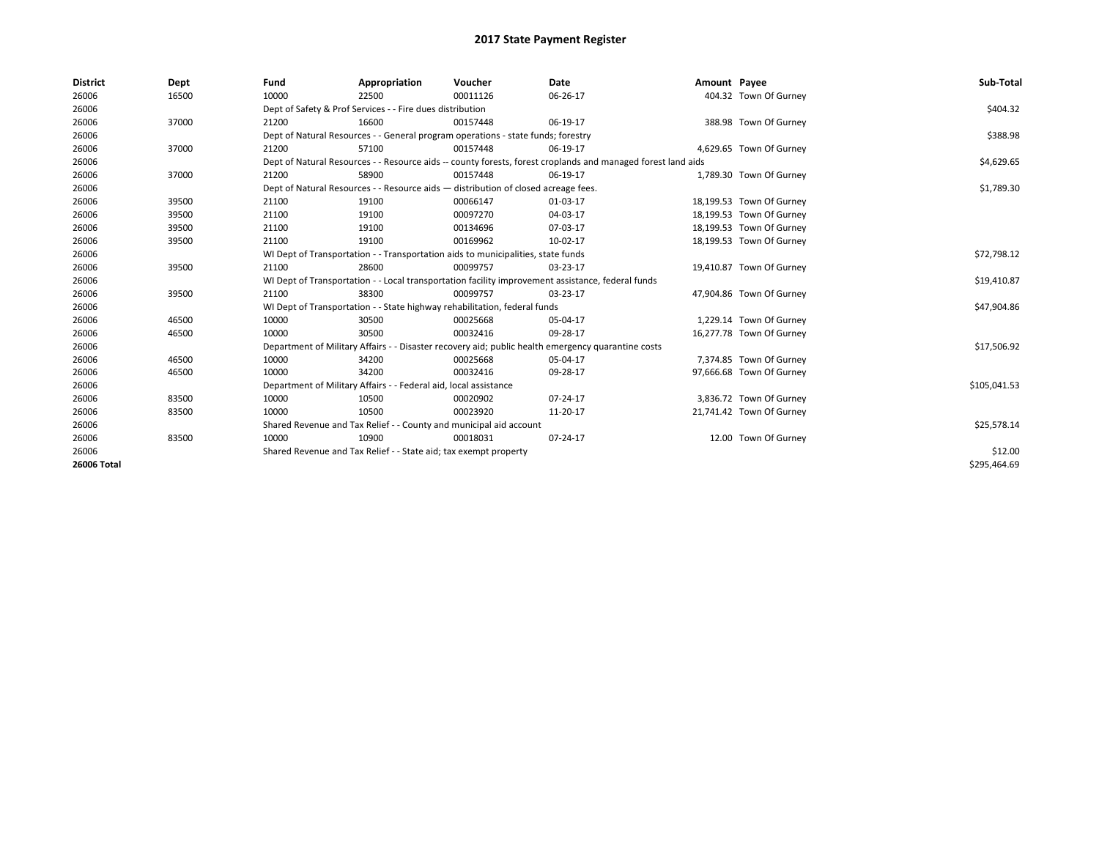| <b>District</b> | Dept  | Fund  | Appropriation                                                                                                | Voucher  | Date           | Amount Payee |                          | Sub-Total    |  |  |
|-----------------|-------|-------|--------------------------------------------------------------------------------------------------------------|----------|----------------|--------------|--------------------------|--------------|--|--|
| 26006           | 16500 | 10000 | 22500                                                                                                        | 00011126 | 06-26-17       |              | 404.32 Town Of Gurney    |              |  |  |
| 26006           |       |       | Dept of Safety & Prof Services - - Fire dues distribution                                                    |          |                |              |                          | \$404.32     |  |  |
| 26006           | 37000 | 21200 | 16600                                                                                                        | 00157448 | 06-19-17       |              | 388.98 Town Of Gurney    |              |  |  |
| 26006           |       |       | Dept of Natural Resources - - General program operations - state funds; forestry                             |          |                |              |                          | \$388.98     |  |  |
| 26006           | 37000 | 21200 | 57100                                                                                                        | 00157448 | 06-19-17       |              | 4,629.65 Town Of Gurney  |              |  |  |
| 26006           |       |       | Dept of Natural Resources - - Resource aids -- county forests, forest croplands and managed forest land aids |          |                |              |                          | \$4,629.65   |  |  |
| 26006           | 37000 | 21200 | 58900                                                                                                        | 00157448 | 06-19-17       |              | 1,789.30 Town Of Gurney  |              |  |  |
| 26006           |       |       | Dept of Natural Resources - - Resource aids - distribution of closed acreage fees.                           |          |                |              |                          |              |  |  |
| 26006           | 39500 | 21100 | 19100                                                                                                        | 00066147 | 01-03-17       |              | 18,199.53 Town Of Gurney |              |  |  |
| 26006           | 39500 | 21100 | 19100                                                                                                        | 00097270 | 04-03-17       |              | 18,199.53 Town Of Gurney |              |  |  |
| 26006           | 39500 | 21100 | 19100                                                                                                        | 00134696 | 07-03-17       |              | 18,199.53 Town Of Gurney |              |  |  |
| 26006           | 39500 | 21100 | 19100                                                                                                        | 00169962 | 10-02-17       |              | 18,199.53 Town Of Gurney |              |  |  |
| 26006           |       |       | WI Dept of Transportation - - Transportation aids to municipalities, state funds                             |          |                |              |                          |              |  |  |
| 26006           | 39500 | 21100 | 28600                                                                                                        | 00099757 | 03-23-17       |              | 19,410.87 Town Of Gurney |              |  |  |
| 26006           |       |       | WI Dept of Transportation - - Local transportation facility improvement assistance, federal funds            |          |                |              |                          | \$19,410.87  |  |  |
| 26006           | 39500 | 21100 | 38300                                                                                                        | 00099757 | 03-23-17       |              | 47,904.86 Town Of Gurney |              |  |  |
| 26006           |       |       | WI Dept of Transportation - - State highway rehabilitation, federal funds                                    |          |                |              |                          | \$47,904.86  |  |  |
| 26006           | 46500 | 10000 | 30500                                                                                                        | 00025668 | 05-04-17       |              | 1,229.14 Town Of Gurney  |              |  |  |
| 26006           | 46500 | 10000 | 30500                                                                                                        | 00032416 | 09-28-17       |              | 16,277.78 Town Of Gurney |              |  |  |
| 26006           |       |       | Department of Military Affairs - - Disaster recovery aid; public health emergency quarantine costs           |          |                |              |                          | \$17,506.92  |  |  |
| 26006           | 46500 | 10000 | 34200                                                                                                        | 00025668 | 05-04-17       |              | 7,374.85 Town Of Gurney  |              |  |  |
| 26006           | 46500 | 10000 | 34200                                                                                                        | 00032416 | 09-28-17       |              | 97,666.68 Town Of Gurney |              |  |  |
| 26006           |       |       | Department of Military Affairs - - Federal aid, local assistance                                             |          |                |              |                          | \$105,041.53 |  |  |
| 26006           | 83500 | 10000 | 10500                                                                                                        | 00020902 | $07 - 24 - 17$ |              | 3,836.72 Town Of Gurney  |              |  |  |
| 26006           | 83500 | 10000 | 10500                                                                                                        | 00023920 | 11-20-17       |              | 21,741.42 Town Of Gurney |              |  |  |
| 26006           |       |       | Shared Revenue and Tax Relief - - County and municipal aid account                                           |          |                |              |                          | \$25,578.14  |  |  |
| 26006           | 83500 | 10000 | 10900                                                                                                        | 00018031 | 07-24-17       |              | 12.00 Town Of Gurney     |              |  |  |
| 26006           |       |       | Shared Revenue and Tax Relief - - State aid; tax exempt property                                             |          |                |              |                          | \$12.00      |  |  |
| 26006 Total     |       |       |                                                                                                              |          |                |              |                          | \$295.464.69 |  |  |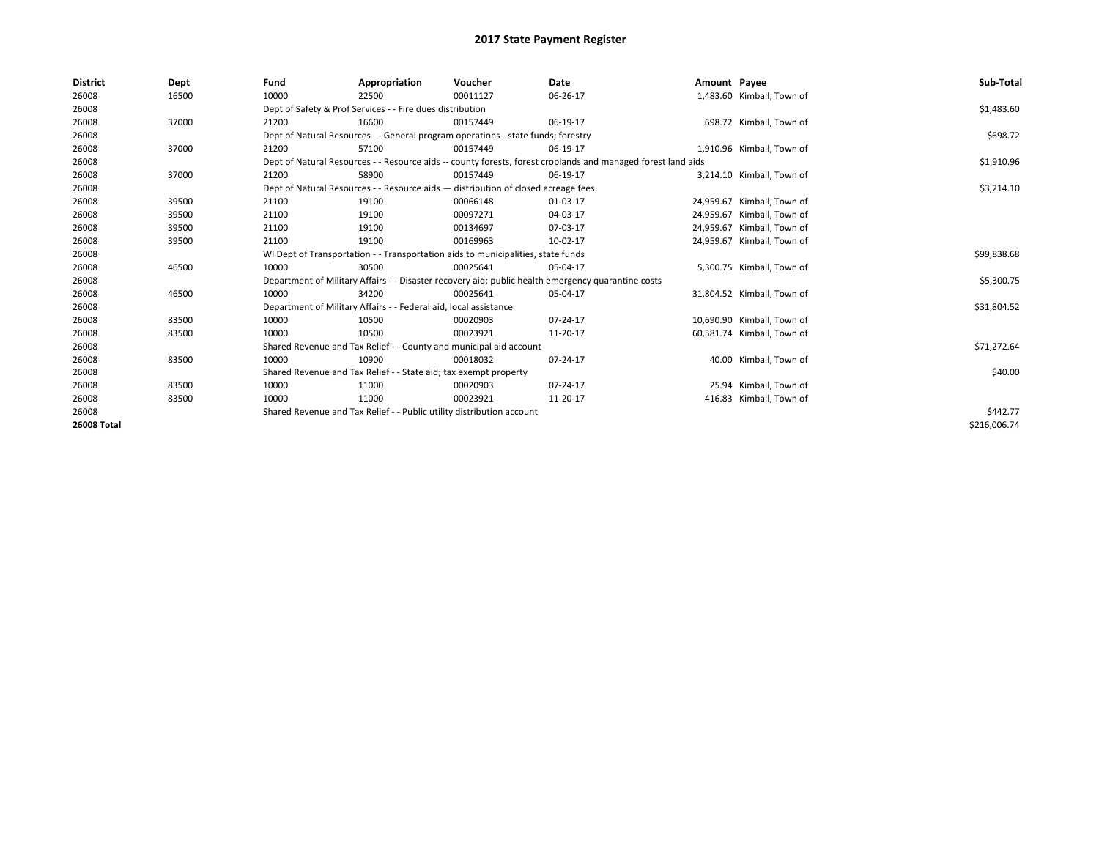| <b>District</b> | Dept  | Fund  | Appropriation                                                                      | Voucher  | Date                                                                                                         | Amount Payee |                            | Sub-Total    |  |  |
|-----------------|-------|-------|------------------------------------------------------------------------------------|----------|--------------------------------------------------------------------------------------------------------------|--------------|----------------------------|--------------|--|--|
| 26008           | 16500 | 10000 | 22500                                                                              | 00011127 | 06-26-17                                                                                                     |              | 1,483.60 Kimball, Town of  |              |  |  |
| 26008           |       |       | Dept of Safety & Prof Services - - Fire dues distribution                          |          |                                                                                                              |              |                            | \$1,483.60   |  |  |
| 26008           | 37000 | 21200 | 16600                                                                              | 00157449 | 06-19-17                                                                                                     |              | 698.72 Kimball, Town of    |              |  |  |
| 26008           |       |       | Dept of Natural Resources - - General program operations - state funds; forestry   |          |                                                                                                              |              |                            | \$698.72     |  |  |
| 26008           | 37000 | 21200 | 57100                                                                              | 00157449 | 06-19-17                                                                                                     |              | 1,910.96 Kimball, Town of  |              |  |  |
| 26008           |       |       |                                                                                    |          | Dept of Natural Resources - - Resource aids -- county forests, forest croplands and managed forest land aids |              |                            | \$1,910.96   |  |  |
| 26008           | 37000 | 21200 | 58900                                                                              | 00157449 | 06-19-17                                                                                                     |              | 3,214.10 Kimball, Town of  |              |  |  |
| 26008           |       |       | Dept of Natural Resources - - Resource aids - distribution of closed acreage fees. |          |                                                                                                              |              |                            | \$3,214.10   |  |  |
| 26008           | 39500 | 21100 | 19100                                                                              | 00066148 | 01-03-17                                                                                                     |              | 24,959.67 Kimball, Town of |              |  |  |
| 26008           | 39500 | 21100 | 19100                                                                              | 00097271 | 04-03-17                                                                                                     |              | 24,959.67 Kimball, Town of |              |  |  |
| 26008           | 39500 | 21100 | 19100                                                                              | 00134697 | 07-03-17                                                                                                     |              | 24.959.67 Kimball. Town of |              |  |  |
| 26008           | 39500 | 21100 | 19100                                                                              | 00169963 | 10-02-17                                                                                                     |              | 24,959.67 Kimball, Town of |              |  |  |
| 26008           |       |       | WI Dept of Transportation - - Transportation aids to municipalities, state funds   |          |                                                                                                              |              |                            |              |  |  |
| 26008           | 46500 | 10000 | 30500                                                                              | 00025641 | 05-04-17                                                                                                     |              | 5,300.75 Kimball, Town of  |              |  |  |
| 26008           |       |       |                                                                                    |          | Department of Military Affairs - - Disaster recovery aid; public health emergency quarantine costs           |              |                            | \$5,300.75   |  |  |
| 26008           | 46500 | 10000 | 34200                                                                              | 00025641 | 05-04-17                                                                                                     |              | 31,804.52 Kimball, Town of |              |  |  |
| 26008           |       |       | Department of Military Affairs - - Federal aid, local assistance                   |          |                                                                                                              |              |                            | \$31,804.52  |  |  |
| 26008           | 83500 | 10000 | 10500                                                                              | 00020903 | 07-24-17                                                                                                     |              | 10,690.90 Kimball, Town of |              |  |  |
| 26008           | 83500 | 10000 | 10500                                                                              | 00023921 | 11-20-17                                                                                                     |              | 60,581.74 Kimball, Town of |              |  |  |
| 26008           |       |       | Shared Revenue and Tax Relief - - County and municipal aid account                 |          |                                                                                                              |              |                            | \$71,272.64  |  |  |
| 26008           | 83500 | 10000 | 10900                                                                              | 00018032 | 07-24-17                                                                                                     |              | 40.00 Kimball, Town of     |              |  |  |
| 26008           |       |       | Shared Revenue and Tax Relief - - State aid; tax exempt property                   |          |                                                                                                              |              |                            | \$40.00      |  |  |
| 26008           | 83500 | 10000 | 11000                                                                              | 00020903 | 07-24-17                                                                                                     |              | 25.94 Kimball, Town of     |              |  |  |
| 26008           | 83500 | 10000 | 11000                                                                              | 00023921 | 11-20-17                                                                                                     |              | 416.83 Kimball, Town of    |              |  |  |
| 26008           |       |       | Shared Revenue and Tax Relief - - Public utility distribution account              |          |                                                                                                              |              |                            |              |  |  |
| 26008 Total     |       |       |                                                                                    |          |                                                                                                              |              |                            | \$216,006.74 |  |  |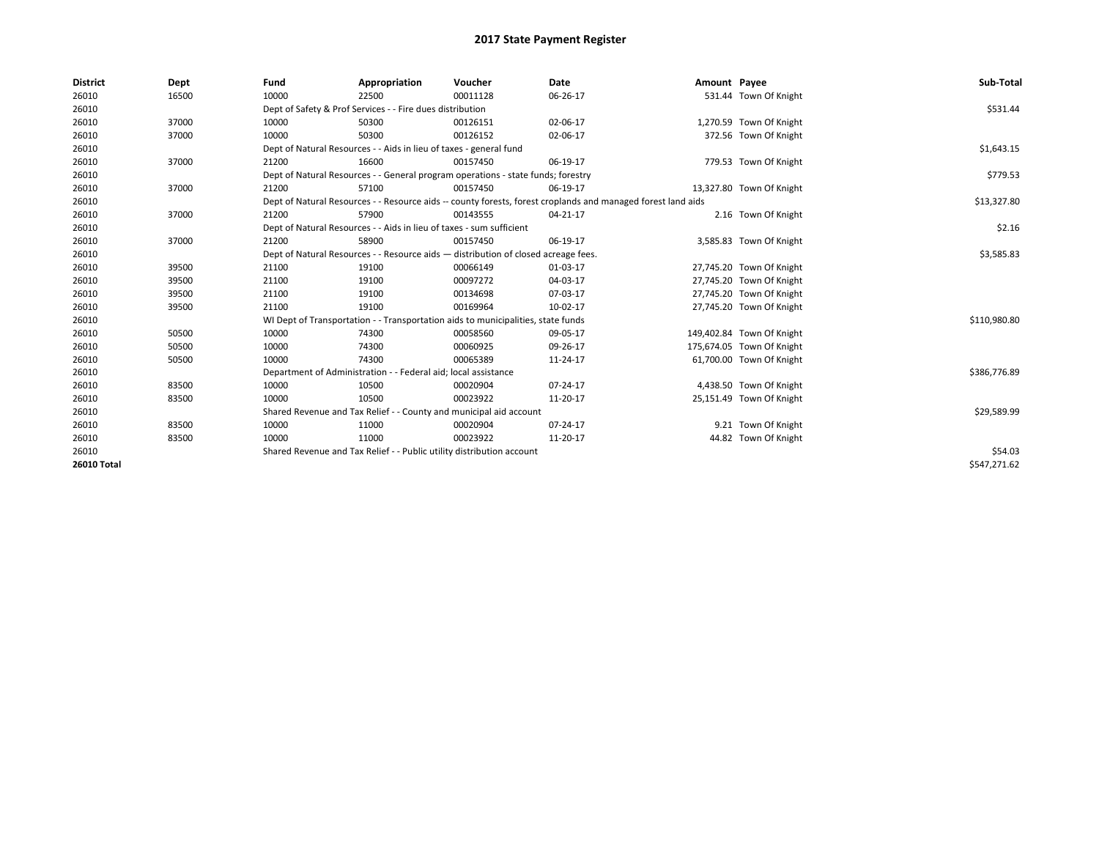| <b>District</b>    | Dept  | Fund  | Appropriation                                                                                                | Voucher  | Date           | Amount Payee |                           | Sub-Total    |  |  |
|--------------------|-------|-------|--------------------------------------------------------------------------------------------------------------|----------|----------------|--------------|---------------------------|--------------|--|--|
| 26010              | 16500 | 10000 | 22500                                                                                                        | 00011128 | 06-26-17       |              | 531.44 Town Of Knight     |              |  |  |
| 26010              |       |       | Dept of Safety & Prof Services - - Fire dues distribution                                                    |          |                |              |                           | \$531.44     |  |  |
| 26010              | 37000 | 10000 | 50300                                                                                                        | 00126151 | 02-06-17       |              | 1,270.59 Town Of Knight   |              |  |  |
| 26010              | 37000 | 10000 | 50300                                                                                                        | 00126152 | 02-06-17       |              | 372.56 Town Of Knight     |              |  |  |
| 26010              |       |       | Dept of Natural Resources - - Aids in lieu of taxes - general fund                                           |          |                |              |                           | \$1,643.15   |  |  |
| 26010              | 37000 | 21200 | 16600                                                                                                        | 00157450 | 06-19-17       |              | 779.53 Town Of Knight     |              |  |  |
| 26010              |       |       | Dept of Natural Resources - - General program operations - state funds; forestry                             |          |                |              |                           | \$779.53     |  |  |
| 26010              | 37000 | 21200 | 57100                                                                                                        | 00157450 | 06-19-17       |              | 13,327.80 Town Of Knight  |              |  |  |
| 26010              |       |       | Dept of Natural Resources - - Resource aids -- county forests, forest croplands and managed forest land aids |          |                |              |                           |              |  |  |
| 26010              | 37000 | 21200 | 57900                                                                                                        | 00143555 | 04-21-17       |              | 2.16 Town Of Knight       |              |  |  |
| 26010              |       |       | Dept of Natural Resources - - Aids in lieu of taxes - sum sufficient                                         |          |                |              |                           | \$2.16       |  |  |
| 26010              | 37000 | 21200 | 58900                                                                                                        | 00157450 | 06-19-17       |              | 3,585.83 Town Of Knight   |              |  |  |
| 26010              |       |       | Dept of Natural Resources - - Resource aids - distribution of closed acreage fees.                           |          |                |              |                           |              |  |  |
| 26010              | 39500 | 21100 | 19100                                                                                                        | 00066149 | 01-03-17       |              | 27,745.20 Town Of Knight  |              |  |  |
| 26010              | 39500 | 21100 | 19100                                                                                                        | 00097272 | 04-03-17       |              | 27,745.20 Town Of Knight  |              |  |  |
| 26010              | 39500 | 21100 | 19100                                                                                                        | 00134698 | 07-03-17       |              | 27,745.20 Town Of Knight  |              |  |  |
| 26010              | 39500 | 21100 | 19100                                                                                                        | 00169964 | 10-02-17       |              | 27,745.20 Town Of Knight  |              |  |  |
| 26010              |       |       | WI Dept of Transportation - - Transportation aids to municipalities, state funds                             |          |                |              |                           | \$110,980.80 |  |  |
| 26010              | 50500 | 10000 | 74300                                                                                                        | 00058560 | 09-05-17       |              | 149,402.84 Town Of Knight |              |  |  |
| 26010              | 50500 | 10000 | 74300                                                                                                        | 00060925 | 09-26-17       |              | 175,674.05 Town Of Knight |              |  |  |
| 26010              | 50500 | 10000 | 74300                                                                                                        | 00065389 | 11-24-17       |              | 61,700.00 Town Of Knight  |              |  |  |
| 26010              |       |       | Department of Administration - - Federal aid; local assistance                                               |          |                |              |                           | \$386,776.89 |  |  |
| 26010              | 83500 | 10000 | 10500                                                                                                        | 00020904 | $07 - 24 - 17$ |              | 4,438.50 Town Of Knight   |              |  |  |
| 26010              | 83500 | 10000 | 10500                                                                                                        | 00023922 | 11-20-17       |              | 25,151.49 Town Of Knight  |              |  |  |
| 26010              |       |       | Shared Revenue and Tax Relief - - County and municipal aid account                                           |          |                |              |                           | \$29,589.99  |  |  |
| 26010              | 83500 | 10000 | 11000                                                                                                        | 00020904 | 07-24-17       |              | 9.21 Town Of Knight       |              |  |  |
| 26010              | 83500 | 10000 | 11000                                                                                                        | 00023922 | 11-20-17       |              | 44.82 Town Of Knight      |              |  |  |
| 26010              |       |       | Shared Revenue and Tax Relief - - Public utility distribution account                                        |          |                |              |                           | \$54.03      |  |  |
| <b>26010 Total</b> |       |       |                                                                                                              |          |                |              |                           | \$547.271.62 |  |  |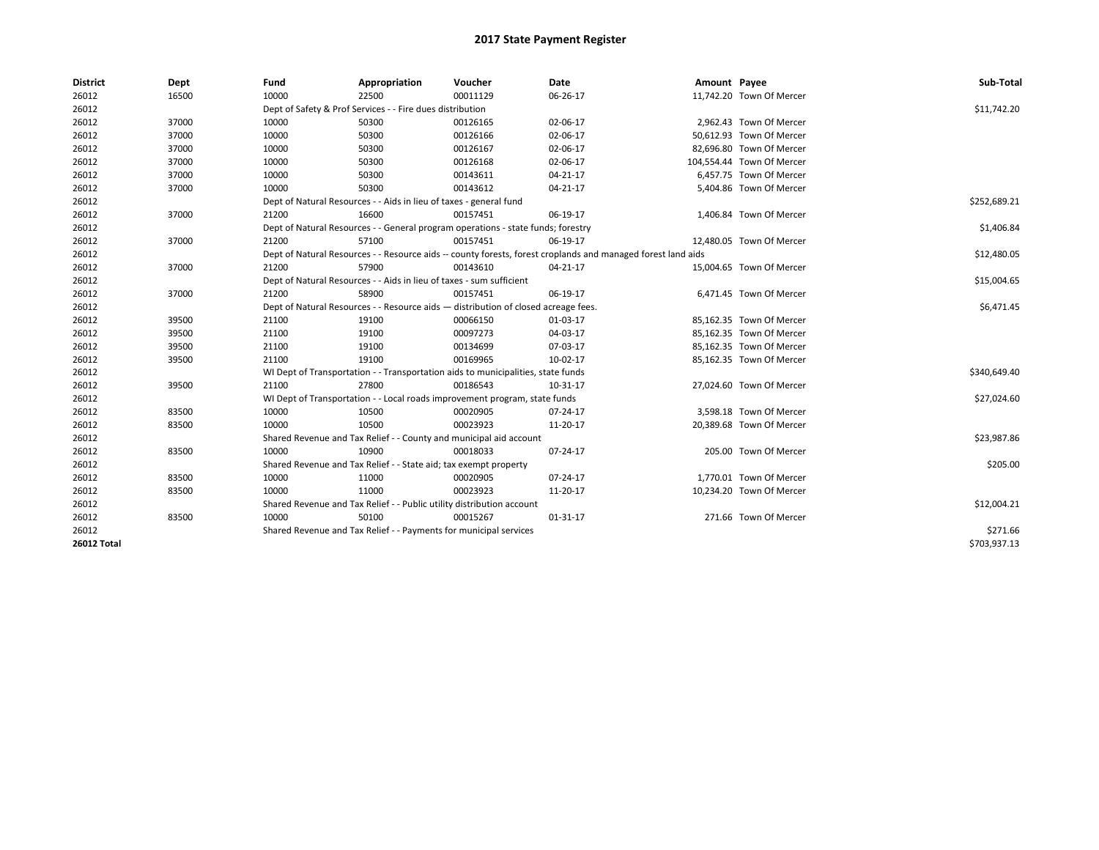| <b>District</b>    | Dept  | Fund  | Appropriation                                                                                                | Voucher  | Date           | Amount Payee |                           | Sub-Total    |  |  |
|--------------------|-------|-------|--------------------------------------------------------------------------------------------------------------|----------|----------------|--------------|---------------------------|--------------|--|--|
| 26012              | 16500 | 10000 | 22500                                                                                                        | 00011129 | 06-26-17       |              | 11,742.20 Town Of Mercer  |              |  |  |
| 26012              |       |       | Dept of Safety & Prof Services - - Fire dues distribution                                                    |          |                |              |                           | \$11,742.20  |  |  |
| 26012              | 37000 | 10000 | 50300                                                                                                        | 00126165 | 02-06-17       |              | 2.962.43 Town Of Mercer   |              |  |  |
| 26012              | 37000 | 10000 | 50300                                                                                                        | 00126166 | 02-06-17       |              | 50.612.93 Town Of Mercer  |              |  |  |
| 26012              | 37000 | 10000 | 50300                                                                                                        | 00126167 | 02-06-17       |              | 82,696.80 Town Of Mercer  |              |  |  |
| 26012              | 37000 | 10000 | 50300                                                                                                        | 00126168 | 02-06-17       |              | 104,554.44 Town Of Mercer |              |  |  |
| 26012              | 37000 | 10000 | 50300                                                                                                        | 00143611 | 04-21-17       |              | 6,457.75 Town Of Mercer   |              |  |  |
| 26012              | 37000 | 10000 | 50300                                                                                                        | 00143612 | 04-21-17       |              | 5,404.86 Town Of Mercer   |              |  |  |
| 26012              |       |       | Dept of Natural Resources - - Aids in lieu of taxes - general fund                                           |          |                |              |                           | \$252,689.21 |  |  |
| 26012              | 37000 | 21200 | 16600                                                                                                        | 00157451 | 06-19-17       |              | 1,406.84 Town Of Mercer   |              |  |  |
| 26012              |       |       | Dept of Natural Resources - - General program operations - state funds; forestry                             |          |                |              |                           | \$1,406.84   |  |  |
| 26012              | 37000 | 21200 | 57100                                                                                                        | 00157451 | 06-19-17       |              | 12,480.05 Town Of Mercer  |              |  |  |
| 26012              |       |       | Dept of Natural Resources - - Resource aids -- county forests, forest croplands and managed forest land aids |          |                |              |                           |              |  |  |
| 26012              | 37000 | 21200 | 57900                                                                                                        | 00143610 | $04 - 21 - 17$ |              | 15,004.65 Town Of Mercer  |              |  |  |
| 26012              |       |       | Dept of Natural Resources - - Aids in lieu of taxes - sum sufficient                                         |          |                |              |                           |              |  |  |
| 26012              | 37000 | 21200 | 58900                                                                                                        | 00157451 | 06-19-17       |              | 6,471.45 Town Of Mercer   |              |  |  |
| 26012              |       |       | Dept of Natural Resources - - Resource aids - distribution of closed acreage fees.                           |          |                |              |                           | \$6,471.45   |  |  |
| 26012              | 39500 | 21100 | 19100                                                                                                        | 00066150 | 01-03-17       |              | 85,162.35 Town Of Mercer  |              |  |  |
| 26012              | 39500 | 21100 | 19100                                                                                                        | 00097273 | 04-03-17       |              | 85,162.35 Town Of Mercer  |              |  |  |
| 26012              | 39500 | 21100 | 19100                                                                                                        | 00134699 | 07-03-17       |              | 85,162.35 Town Of Mercer  |              |  |  |
| 26012              | 39500 | 21100 | 19100                                                                                                        | 00169965 | 10-02-17       |              | 85,162.35 Town Of Mercer  |              |  |  |
| 26012              |       |       | WI Dept of Transportation - - Transportation aids to municipalities, state funds                             |          |                |              |                           | \$340,649.40 |  |  |
| 26012              | 39500 | 21100 | 27800                                                                                                        | 00186543 | 10-31-17       |              | 27,024.60 Town Of Mercer  |              |  |  |
| 26012              |       |       | WI Dept of Transportation - - Local roads improvement program, state funds                                   |          |                |              |                           | \$27,024.60  |  |  |
| 26012              | 83500 | 10000 | 10500                                                                                                        | 00020905 | 07-24-17       |              | 3,598.18 Town Of Mercer   |              |  |  |
| 26012              | 83500 | 10000 | 10500                                                                                                        | 00023923 | 11-20-17       |              | 20,389.68 Town Of Mercer  |              |  |  |
| 26012              |       |       | Shared Revenue and Tax Relief - - County and municipal aid account                                           |          |                |              |                           | \$23,987.86  |  |  |
| 26012              | 83500 | 10000 | 10900                                                                                                        | 00018033 | 07-24-17       |              | 205.00 Town Of Mercer     |              |  |  |
| 26012              |       |       | Shared Revenue and Tax Relief - - State aid; tax exempt property                                             |          |                |              |                           | \$205.00     |  |  |
| 26012              | 83500 | 10000 | 11000                                                                                                        | 00020905 | 07-24-17       |              | 1,770.01 Town Of Mercer   |              |  |  |
| 26012              | 83500 | 10000 | 11000                                                                                                        | 00023923 | 11-20-17       |              | 10,234.20 Town Of Mercer  |              |  |  |
| 26012              |       |       | Shared Revenue and Tax Relief - - Public utility distribution account                                        |          |                |              |                           | \$12,004.21  |  |  |
| 26012              | 83500 | 10000 | 50100                                                                                                        | 00015267 | 01-31-17       |              | 271.66 Town Of Mercer     |              |  |  |
| 26012              |       |       | Shared Revenue and Tax Relief - - Payments for municipal services                                            |          |                |              |                           | \$271.66     |  |  |
| <b>26012 Total</b> |       |       |                                                                                                              |          |                |              |                           | \$703,937.13 |  |  |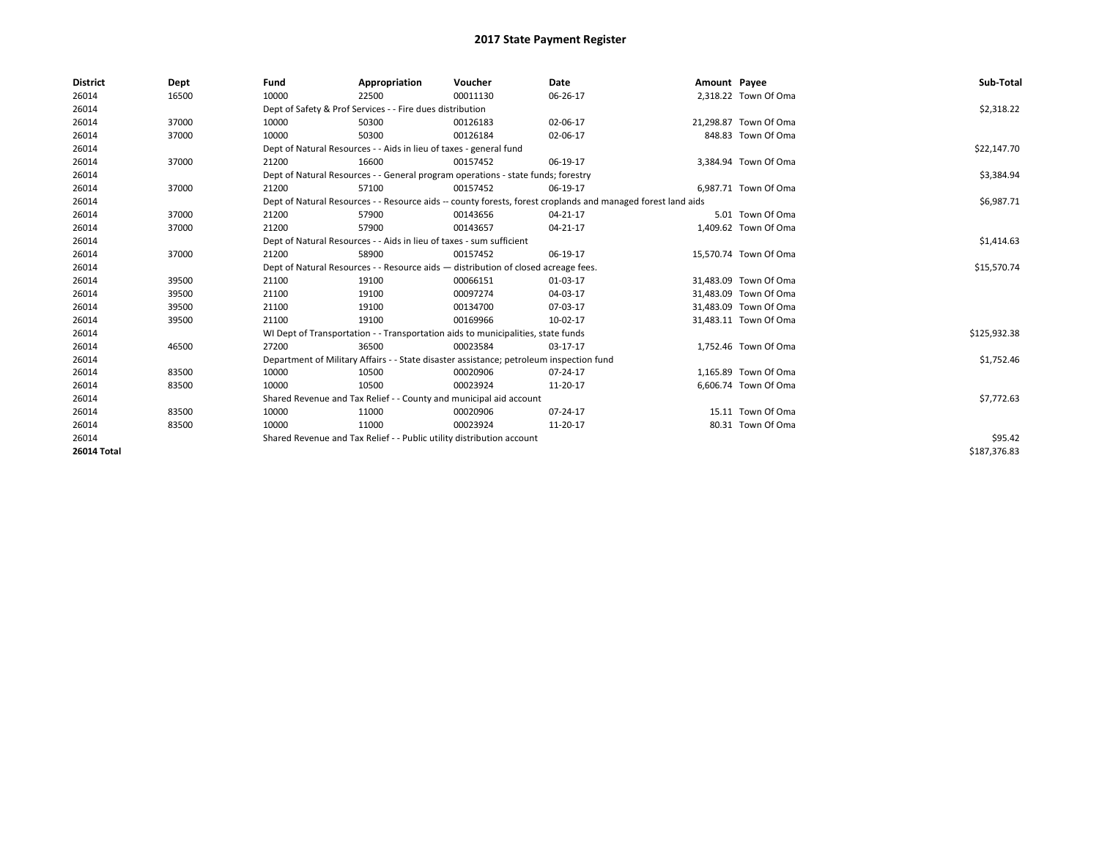| <b>District</b>    | Dept  | Fund  | Appropriation                                                                                                | Voucher  | Date       | Amount Payee |                       | Sub-Total    |
|--------------------|-------|-------|--------------------------------------------------------------------------------------------------------------|----------|------------|--------------|-----------------------|--------------|
| 26014              | 16500 | 10000 | 22500                                                                                                        | 00011130 | 06-26-17   |              | 2,318.22 Town Of Oma  |              |
| 26014              |       |       | Dept of Safety & Prof Services - - Fire dues distribution                                                    |          |            |              |                       | \$2,318.22   |
| 26014              | 37000 | 10000 | 50300                                                                                                        | 00126183 | 02-06-17   |              | 21,298.87 Town Of Oma |              |
| 26014              | 37000 | 10000 | 50300                                                                                                        | 00126184 | 02-06-17   |              | 848.83 Town Of Oma    |              |
| 26014              |       |       | Dept of Natural Resources - - Aids in lieu of taxes - general fund                                           |          |            |              |                       | \$22,147.70  |
| 26014              | 37000 | 21200 | 16600                                                                                                        | 00157452 | 06-19-17   |              | 3,384.94 Town Of Oma  |              |
| 26014              |       |       | Dept of Natural Resources - - General program operations - state funds; forestry                             |          |            |              |                       | \$3,384.94   |
| 26014              | 37000 | 21200 | 57100                                                                                                        | 00157452 | 06-19-17   |              | 6,987.71 Town Of Oma  |              |
| 26014              |       |       | Dept of Natural Resources - - Resource aids -- county forests, forest croplands and managed forest land aids |          | \$6,987.71 |              |                       |              |
| 26014              | 37000 | 21200 | 57900                                                                                                        | 00143656 | 04-21-17   |              | 5.01 Town Of Oma      |              |
| 26014              | 37000 | 21200 | 57900                                                                                                        | 00143657 | 04-21-17   |              | 1,409.62 Town Of Oma  |              |
| 26014              |       |       | Dept of Natural Resources - - Aids in lieu of taxes - sum sufficient                                         |          |            |              |                       | \$1,414.63   |
| 26014              | 37000 | 21200 | 58900                                                                                                        | 00157452 | 06-19-17   |              | 15,570.74 Town Of Oma |              |
| 26014              |       |       | Dept of Natural Resources - - Resource aids - distribution of closed acreage fees.                           |          |            |              |                       | \$15,570.74  |
| 26014              | 39500 | 21100 | 19100                                                                                                        | 00066151 | 01-03-17   |              | 31,483.09 Town Of Oma |              |
| 26014              | 39500 | 21100 | 19100                                                                                                        | 00097274 | 04-03-17   |              | 31.483.09 Town Of Oma |              |
| 26014              | 39500 | 21100 | 19100                                                                                                        | 00134700 | 07-03-17   |              | 31,483.09 Town Of Oma |              |
| 26014              | 39500 | 21100 | 19100                                                                                                        | 00169966 | 10-02-17   |              | 31,483.11 Town Of Oma |              |
| 26014              |       |       | WI Dept of Transportation - - Transportation aids to municipalities, state funds                             |          |            |              |                       | \$125,932.38 |
| 26014              | 46500 | 27200 | 36500                                                                                                        | 00023584 | 03-17-17   |              | 1,752.46 Town Of Oma  |              |
| 26014              |       |       | Department of Military Affairs - - State disaster assistance; petroleum inspection fund                      |          |            |              |                       | \$1,752.46   |
| 26014              | 83500 | 10000 | 10500                                                                                                        | 00020906 | 07-24-17   |              | 1.165.89 Town Of Oma  |              |
| 26014              | 83500 | 10000 | 10500                                                                                                        | 00023924 | 11-20-17   |              | 6,606.74 Town Of Oma  |              |
| 26014              |       |       | Shared Revenue and Tax Relief - - County and municipal aid account                                           |          |            |              |                       | \$7,772.63   |
| 26014              | 83500 | 10000 | 11000                                                                                                        | 00020906 | 07-24-17   |              | 15.11 Town Of Oma     |              |
| 26014              | 83500 | 10000 | 11000                                                                                                        | 00023924 | 11-20-17   |              | 80.31 Town Of Oma     |              |
| 26014              |       |       | Shared Revenue and Tax Relief - - Public utility distribution account                                        |          |            |              |                       | \$95.42      |
| <b>26014 Total</b> |       |       |                                                                                                              |          |            |              |                       | \$187.376.83 |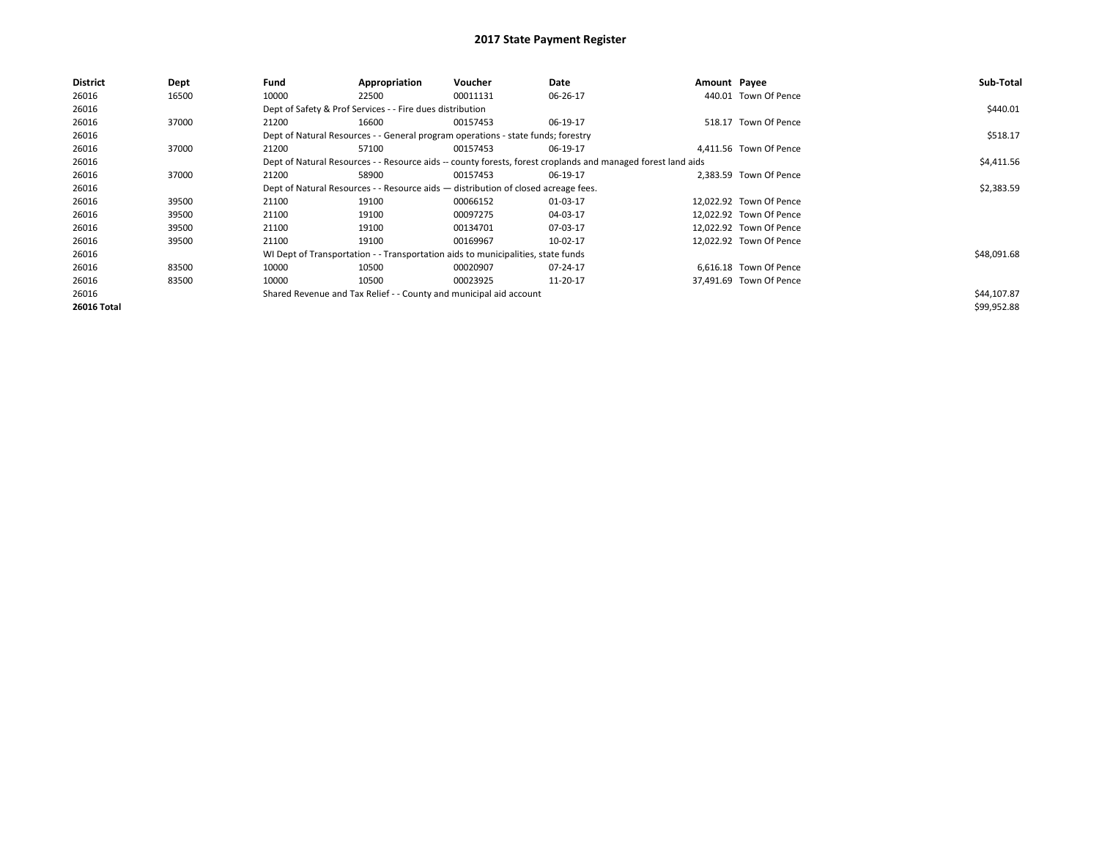| <b>District</b>    | Dept  | Fund  | Appropriation                                                                                                | Voucher  | Date     | Amount Payee |                         | Sub-Total   |
|--------------------|-------|-------|--------------------------------------------------------------------------------------------------------------|----------|----------|--------------|-------------------------|-------------|
| 26016              | 16500 | 10000 | 22500                                                                                                        | 00011131 | 06-26-17 |              | 440.01 Town Of Pence    |             |
| 26016              |       |       | Dept of Safety & Prof Services - - Fire dues distribution                                                    |          |          |              |                         | \$440.01    |
| 26016              | 37000 | 21200 | 16600                                                                                                        | 00157453 | 06-19-17 |              | 518.17 Town Of Pence    |             |
| 26016              |       |       | Dept of Natural Resources - - General program operations - state funds; forestry                             |          |          |              |                         | \$518.17    |
| 26016              | 37000 | 21200 | 57100                                                                                                        | 00157453 | 06-19-17 |              | 4,411.56 Town Of Pence  |             |
| 26016              |       |       | Dept of Natural Resources - - Resource aids -- county forests, forest croplands and managed forest land aids |          |          |              |                         | \$4,411.56  |
| 26016              | 37000 | 21200 | 58900                                                                                                        | 00157453 | 06-19-17 |              | 2.383.59 Town Of Pence  |             |
| 26016              |       |       | Dept of Natural Resources - - Resource aids - distribution of closed acreage fees.                           |          |          |              |                         | \$2,383.59  |
| 26016              | 39500 | 21100 | 19100                                                                                                        | 00066152 | 01-03-17 |              | 12.022.92 Town Of Pence |             |
| 26016              | 39500 | 21100 | 19100                                                                                                        | 00097275 | 04-03-17 |              | 12.022.92 Town Of Pence |             |
| 26016              | 39500 | 21100 | 19100                                                                                                        | 00134701 | 07-03-17 |              | 12.022.92 Town Of Pence |             |
| 26016              | 39500 | 21100 | 19100                                                                                                        | 00169967 | 10-02-17 |              | 12,022.92 Town Of Pence |             |
| 26016              |       |       | WI Dept of Transportation - - Transportation aids to municipalities, state funds                             |          |          |              |                         | \$48,091.68 |
| 26016              | 83500 | 10000 | 10500                                                                                                        | 00020907 | 07-24-17 |              | 6,616.18 Town Of Pence  |             |
| 26016              | 83500 | 10000 | 10500                                                                                                        | 00023925 | 11-20-17 |              | 37,491.69 Town Of Pence |             |
| 26016              |       |       | Shared Revenue and Tax Relief - - County and municipal aid account                                           |          |          |              |                         | \$44,107.87 |
| <b>26016 Total</b> |       |       |                                                                                                              |          |          |              |                         | \$99,952.88 |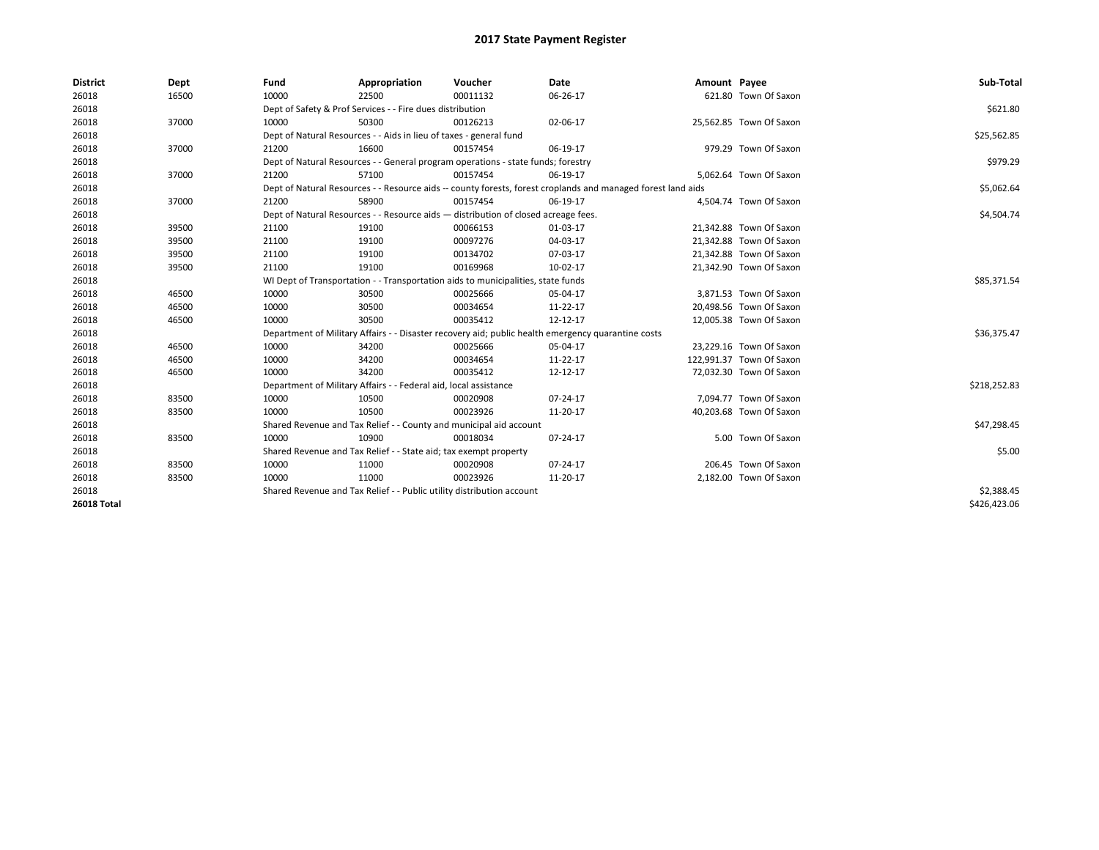| <b>District</b>    | Dept  | Fund  | Appropriation                                                                                                | Voucher  | Date     | Amount Payee |                          | Sub-Total    |  |  |
|--------------------|-------|-------|--------------------------------------------------------------------------------------------------------------|----------|----------|--------------|--------------------------|--------------|--|--|
| 26018              | 16500 | 10000 | 22500                                                                                                        | 00011132 | 06-26-17 |              | 621.80 Town Of Saxon     |              |  |  |
| 26018              |       |       | Dept of Safety & Prof Services - - Fire dues distribution                                                    |          |          |              |                          |              |  |  |
| 26018              | 37000 | 10000 | 50300                                                                                                        | 00126213 | 02-06-17 |              | 25,562.85 Town Of Saxon  |              |  |  |
| 26018              |       |       | Dept of Natural Resources - - Aids in lieu of taxes - general fund                                           |          |          |              |                          | \$25,562.85  |  |  |
| 26018              | 37000 | 21200 | 16600                                                                                                        | 00157454 | 06-19-17 |              | 979.29 Town Of Saxon     |              |  |  |
| 26018              |       |       | Dept of Natural Resources - - General program operations - state funds; forestry                             |          |          |              |                          |              |  |  |
| 26018              | 37000 | 21200 | 57100                                                                                                        | 00157454 | 06-19-17 |              | 5,062.64 Town Of Saxon   |              |  |  |
| 26018              |       |       | Dept of Natural Resources - - Resource aids -- county forests, forest croplands and managed forest land aids |          |          |              |                          | \$5,062.64   |  |  |
| 26018              | 37000 | 21200 | 58900                                                                                                        | 00157454 | 06-19-17 |              | 4,504.74 Town Of Saxon   |              |  |  |
| 26018              |       |       | Dept of Natural Resources - - Resource aids - distribution of closed acreage fees.                           |          |          |              |                          | \$4,504.74   |  |  |
| 26018              | 39500 | 21100 | 19100                                                                                                        | 00066153 | 01-03-17 |              | 21,342.88 Town Of Saxon  |              |  |  |
| 26018              | 39500 | 21100 | 19100                                                                                                        | 00097276 | 04-03-17 |              | 21,342.88 Town Of Saxon  |              |  |  |
| 26018              | 39500 | 21100 | 19100                                                                                                        | 00134702 | 07-03-17 |              | 21,342.88 Town Of Saxon  |              |  |  |
| 26018              | 39500 | 21100 | 19100                                                                                                        | 00169968 | 10-02-17 |              | 21,342.90 Town Of Saxon  |              |  |  |
| 26018              |       |       | WI Dept of Transportation - - Transportation aids to municipalities, state funds                             |          |          |              |                          |              |  |  |
| 26018              | 46500 | 10000 | 30500                                                                                                        | 00025666 | 05-04-17 |              | 3,871.53 Town Of Saxon   |              |  |  |
| 26018              | 46500 | 10000 | 30500                                                                                                        | 00034654 | 11-22-17 |              | 20,498.56 Town Of Saxon  |              |  |  |
| 26018              | 46500 | 10000 | 30500                                                                                                        | 00035412 | 12-12-17 |              | 12,005.38 Town Of Saxon  |              |  |  |
| 26018              |       |       | Department of Military Affairs - - Disaster recovery aid; public health emergency quarantine costs           |          |          |              |                          | \$36,375.47  |  |  |
| 26018              | 46500 | 10000 | 34200                                                                                                        | 00025666 | 05-04-17 |              | 23,229.16 Town Of Saxon  |              |  |  |
| 26018              | 46500 | 10000 | 34200                                                                                                        | 00034654 | 11-22-17 |              | 122,991.37 Town Of Saxon |              |  |  |
| 26018              | 46500 | 10000 | 34200                                                                                                        | 00035412 | 12-12-17 |              | 72,032.30 Town Of Saxon  |              |  |  |
| 26018              |       |       | Department of Military Affairs - - Federal aid, local assistance                                             |          |          |              |                          | \$218,252.83 |  |  |
| 26018              | 83500 | 10000 | 10500                                                                                                        | 00020908 | 07-24-17 |              | 7,094.77 Town Of Saxon   |              |  |  |
| 26018              | 83500 | 10000 | 10500                                                                                                        | 00023926 | 11-20-17 |              | 40,203.68 Town Of Saxon  |              |  |  |
| 26018              |       |       | Shared Revenue and Tax Relief - - County and municipal aid account                                           |          |          |              |                          | \$47,298.45  |  |  |
| 26018              | 83500 | 10000 | 10900                                                                                                        | 00018034 | 07-24-17 |              | 5.00 Town Of Saxon       |              |  |  |
| 26018              |       |       | Shared Revenue and Tax Relief - - State aid; tax exempt property                                             |          |          |              |                          | \$5.00       |  |  |
| 26018              | 83500 | 10000 | 11000                                                                                                        | 00020908 | 07-24-17 |              | 206.45 Town Of Saxon     |              |  |  |
| 26018              | 83500 | 10000 | 11000                                                                                                        | 00023926 | 11-20-17 |              | 2,182.00 Town Of Saxon   |              |  |  |
| 26018              |       |       | Shared Revenue and Tax Relief - - Public utility distribution account                                        |          |          |              |                          | \$2,388.45   |  |  |
| <b>26018 Total</b> |       |       |                                                                                                              |          |          |              |                          | \$426,423.06 |  |  |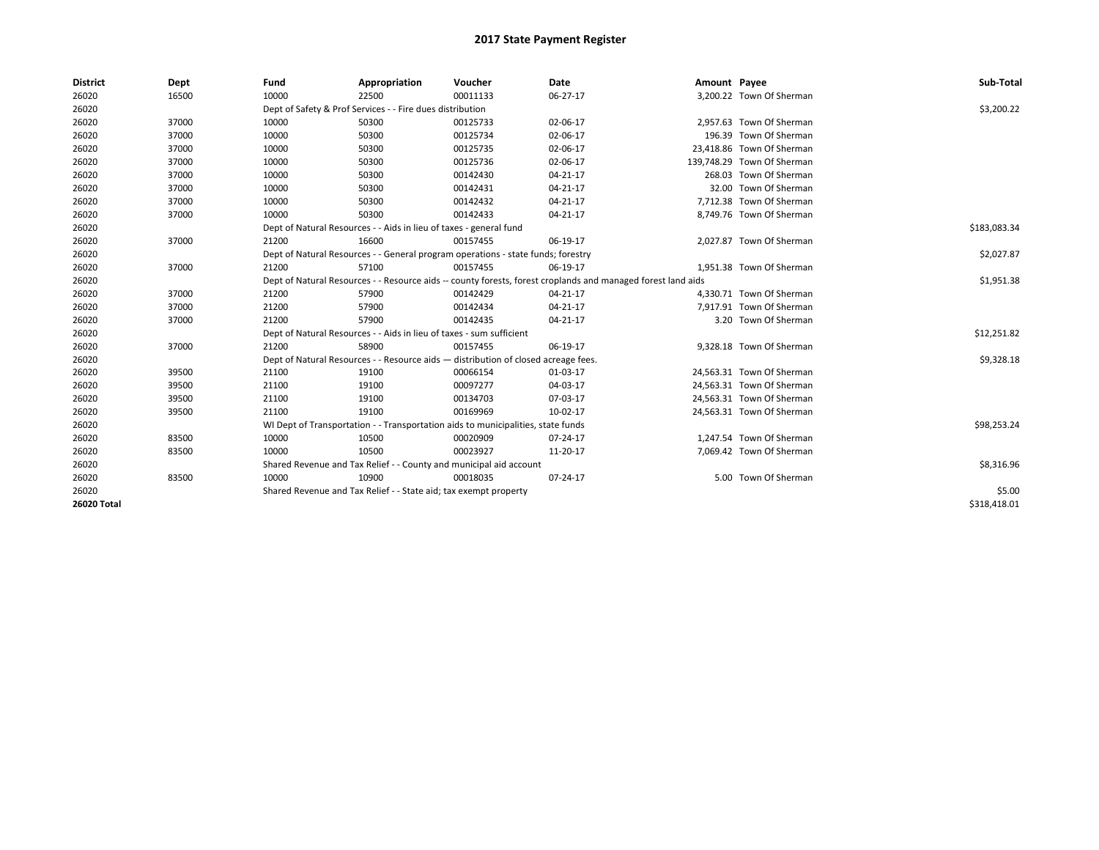| <b>District</b> | Dept  | Fund                                                                             | Appropriation                                                                      | Voucher    | Date                                                                                                         | Amount Payee |                            | Sub-Total    |
|-----------------|-------|----------------------------------------------------------------------------------|------------------------------------------------------------------------------------|------------|--------------------------------------------------------------------------------------------------------------|--------------|----------------------------|--------------|
| 26020           | 16500 | 10000                                                                            | 22500                                                                              | 00011133   | 06-27-17                                                                                                     |              | 3,200.22 Town Of Sherman   |              |
| 26020           |       | Dept of Safety & Prof Services - - Fire dues distribution                        |                                                                                    | \$3,200.22 |                                                                                                              |              |                            |              |
| 26020           | 37000 | 10000                                                                            | 50300                                                                              | 00125733   | 02-06-17                                                                                                     |              | 2,957.63 Town Of Sherman   |              |
| 26020           | 37000 | 10000                                                                            | 50300                                                                              | 00125734   | 02-06-17                                                                                                     |              | 196.39 Town Of Sherman     |              |
| 26020           | 37000 | 10000                                                                            | 50300                                                                              | 00125735   | 02-06-17                                                                                                     |              | 23,418.86 Town Of Sherman  |              |
| 26020           | 37000 | 10000                                                                            | 50300                                                                              | 00125736   | 02-06-17                                                                                                     |              | 139,748.29 Town Of Sherman |              |
| 26020           | 37000 | 10000                                                                            | 50300                                                                              | 00142430   | 04-21-17                                                                                                     |              | 268.03 Town Of Sherman     |              |
| 26020           | 37000 | 10000                                                                            | 50300                                                                              | 00142431   | 04-21-17                                                                                                     |              | 32.00 Town Of Sherman      |              |
| 26020           | 37000 | 10000                                                                            | 50300                                                                              | 00142432   | 04-21-17                                                                                                     |              | 7,712.38 Town Of Sherman   |              |
| 26020           | 37000 | 10000                                                                            | 50300                                                                              | 00142433   | 04-21-17                                                                                                     |              | 8,749.76 Town Of Sherman   |              |
| 26020           |       |                                                                                  | Dept of Natural Resources - - Aids in lieu of taxes - general fund                 |            |                                                                                                              |              |                            | \$183,083.34 |
| 26020           | 37000 | 21200                                                                            | 16600                                                                              | 00157455   | 06-19-17                                                                                                     |              | 2,027.87 Town Of Sherman   |              |
| 26020           |       | Dept of Natural Resources - - General program operations - state funds; forestry |                                                                                    | \$2,027.87 |                                                                                                              |              |                            |              |
| 26020           | 37000 | 21200                                                                            | 57100                                                                              | 00157455   | 06-19-17                                                                                                     |              | 1,951.38 Town Of Sherman   |              |
| 26020           |       |                                                                                  |                                                                                    |            | Dept of Natural Resources - - Resource aids -- county forests, forest croplands and managed forest land aids |              |                            | \$1,951.38   |
| 26020           | 37000 | 21200                                                                            | 57900                                                                              | 00142429   | 04-21-17                                                                                                     |              | 4,330.71 Town Of Sherman   |              |
| 26020           | 37000 | 21200                                                                            | 57900                                                                              | 00142434   | 04-21-17                                                                                                     |              | 7,917.91 Town Of Sherman   |              |
| 26020           | 37000 | 21200                                                                            | 57900                                                                              | 00142435   | 04-21-17                                                                                                     |              | 3.20 Town Of Sherman       |              |
| 26020           |       |                                                                                  | Dept of Natural Resources - - Aids in lieu of taxes - sum sufficient               |            |                                                                                                              |              |                            | \$12,251.82  |
| 26020           | 37000 | 21200                                                                            | 58900                                                                              | 00157455   | 06-19-17                                                                                                     |              | 9,328.18 Town Of Sherman   |              |
| 26020           |       |                                                                                  | Dept of Natural Resources - - Resource aids - distribution of closed acreage fees. |            |                                                                                                              |              |                            | \$9,328.18   |
| 26020           | 39500 | 21100                                                                            | 19100                                                                              | 00066154   | 01-03-17                                                                                                     |              | 24,563.31 Town Of Sherman  |              |
| 26020           | 39500 | 21100                                                                            | 19100                                                                              | 00097277   | 04-03-17                                                                                                     |              | 24.563.31 Town Of Sherman  |              |
| 26020           | 39500 | 21100                                                                            | 19100                                                                              | 00134703   | 07-03-17                                                                                                     |              | 24,563.31 Town Of Sherman  |              |
| 26020           | 39500 | 21100                                                                            | 19100                                                                              | 00169969   | 10-02-17                                                                                                     |              | 24,563.31 Town Of Sherman  |              |
| 26020           |       |                                                                                  | WI Dept of Transportation - - Transportation aids to municipalities, state funds   |            |                                                                                                              |              |                            | \$98,253.24  |
| 26020           | 83500 | 10000                                                                            | 10500                                                                              | 00020909   | 07-24-17                                                                                                     |              | 1.247.54 Town Of Sherman   |              |
| 26020           | 83500 | 10000                                                                            | 10500                                                                              | 00023927   | 11-20-17                                                                                                     |              | 7,069.42 Town Of Sherman   |              |
| 26020           |       |                                                                                  | Shared Revenue and Tax Relief - - County and municipal aid account                 |            |                                                                                                              |              |                            | \$8,316.96   |
| 26020           | 83500 | 10000                                                                            | 10900                                                                              | 00018035   | 07-24-17                                                                                                     |              | 5.00 Town Of Sherman       |              |
| 26020           |       |                                                                                  | Shared Revenue and Tax Relief - - State aid; tax exempt property                   |            |                                                                                                              |              |                            | \$5.00       |
| 26020 Total     |       |                                                                                  |                                                                                    |            |                                                                                                              |              |                            | \$318,418.01 |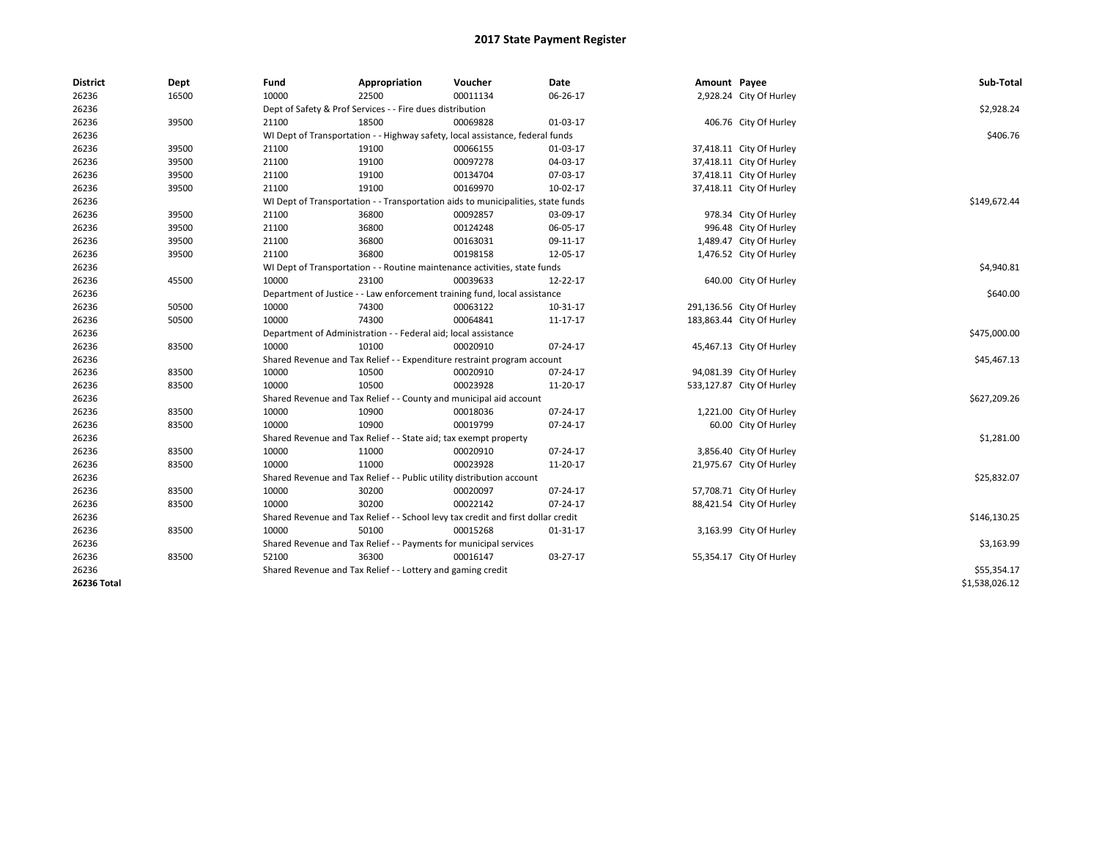| <b>District</b> | Dept  | Fund                                                      | Appropriation                                                                    | Voucher  | Date     | Amount Payee |                           | Sub-Total      |
|-----------------|-------|-----------------------------------------------------------|----------------------------------------------------------------------------------|----------|----------|--------------|---------------------------|----------------|
| 26236           | 16500 | 10000                                                     | 22500                                                                            | 00011134 | 06-26-17 |              | 2,928.24 City Of Hurley   |                |
| 26236           |       | Dept of Safety & Prof Services - - Fire dues distribution | \$2,928.24                                                                       |          |          |              |                           |                |
| 26236           | 39500 | 21100                                                     | 18500                                                                            | 00069828 | 01-03-17 |              | 406.76 City Of Hurley     |                |
| 26236           |       |                                                           | WI Dept of Transportation - - Highway safety, local assistance, federal funds    |          |          |              |                           | \$406.76       |
| 26236           | 39500 | 21100                                                     | 19100                                                                            | 00066155 | 01-03-17 |              | 37,418.11 City Of Hurley  |                |
| 26236           | 39500 | 21100                                                     | 19100                                                                            | 00097278 | 04-03-17 |              | 37,418.11 City Of Hurley  |                |
| 26236           | 39500 | 21100                                                     | 19100                                                                            | 00134704 | 07-03-17 |              | 37,418.11 City Of Hurley  |                |
| 26236           | 39500 | 21100                                                     | 19100                                                                            | 00169970 | 10-02-17 |              | 37,418.11 City Of Hurley  |                |
| 26236           |       |                                                           | WI Dept of Transportation - - Transportation aids to municipalities, state funds |          |          |              |                           | \$149,672.44   |
| 26236           | 39500 | 21100                                                     | 36800                                                                            | 00092857 | 03-09-17 |              | 978.34 City Of Hurley     |                |
| 26236           | 39500 | 21100                                                     | 36800                                                                            | 00124248 | 06-05-17 |              | 996.48 City Of Hurley     |                |
| 26236           | 39500 | 21100                                                     | 36800                                                                            | 00163031 | 09-11-17 |              | 1,489.47 City Of Hurley   |                |
| 26236           | 39500 | 21100                                                     | 36800                                                                            | 00198158 | 12-05-17 |              | 1,476.52 City Of Hurley   |                |
| 26236           |       |                                                           | WI Dept of Transportation - - Routine maintenance activities, state funds        |          |          |              |                           | \$4,940.81     |
| 26236           | 45500 | 10000                                                     | 23100                                                                            | 00039633 | 12-22-17 |              | 640.00 City Of Hurley     |                |
| 26236           |       |                                                           | Department of Justice - - Law enforcement training fund, local assistance        |          |          |              |                           | \$640.00       |
| 26236           | 50500 | 10000                                                     | 74300                                                                            | 00063122 | 10-31-17 |              | 291,136.56 City Of Hurley |                |
| 26236           | 50500 | 10000                                                     | 74300                                                                            | 00064841 | 11-17-17 |              | 183,863.44 City Of Hurley |                |
| 26236           |       |                                                           | Department of Administration - - Federal aid; local assistance                   |          |          |              |                           | \$475,000.00   |
| 26236           | 83500 | 10000                                                     | 10100                                                                            | 00020910 | 07-24-17 |              | 45,467.13 City Of Hurley  |                |
| 26236           |       |                                                           | Shared Revenue and Tax Relief - - Expenditure restraint program account          |          |          |              |                           | \$45,467.13    |
| 26236           | 83500 | 10000                                                     | 10500                                                                            | 00020910 | 07-24-17 |              | 94,081.39 City Of Hurley  |                |
| 26236           | 83500 | 10000                                                     | 10500                                                                            | 00023928 | 11-20-17 |              | 533,127.87 City Of Hurley |                |
| 26236           |       |                                                           | Shared Revenue and Tax Relief - - County and municipal aid account               |          |          |              |                           | \$627,209.26   |
| 26236           | 83500 | 10000                                                     | 10900                                                                            | 00018036 | 07-24-17 |              | 1,221.00 City Of Hurley   |                |
| 26236           | 83500 | 10000                                                     | 10900                                                                            | 00019799 | 07-24-17 |              | 60.00 City Of Hurley      |                |
| 26236           |       |                                                           | Shared Revenue and Tax Relief - - State aid; tax exempt property                 |          |          |              |                           | \$1,281.00     |
| 26236           | 83500 | 10000                                                     | 11000                                                                            | 00020910 | 07-24-17 |              | 3,856.40 City Of Hurley   |                |
| 26236           | 83500 | 10000                                                     | 11000                                                                            | 00023928 | 11-20-17 |              | 21,975.67 City Of Hurley  |                |
| 26236           |       |                                                           | Shared Revenue and Tax Relief - - Public utility distribution account            |          |          |              |                           | \$25,832.07    |
| 26236           | 83500 | 10000                                                     | 30200                                                                            | 00020097 | 07-24-17 |              | 57,708.71 City Of Hurley  |                |
| 26236           | 83500 | 10000                                                     | 30200                                                                            | 00022142 | 07-24-17 |              | 88,421.54 City Of Hurley  |                |
| 26236           |       |                                                           | Shared Revenue and Tax Relief - - School levy tax credit and first dollar credit |          |          |              |                           | \$146,130.25   |
| 26236           | 83500 | 10000                                                     | 50100                                                                            | 00015268 | 01-31-17 |              | 3,163.99 City Of Hurley   |                |
| 26236           |       |                                                           | Shared Revenue and Tax Relief - - Payments for municipal services                |          |          |              |                           | \$3,163.99     |
| 26236           | 83500 | 52100                                                     | 36300                                                                            | 00016147 | 03-27-17 |              | 55,354.17 City Of Hurley  |                |
| 26236           |       |                                                           | Shared Revenue and Tax Relief - - Lottery and gaming credit                      |          |          |              |                           | \$55,354.17    |
| 26236 Total     |       |                                                           |                                                                                  |          |          |              |                           | \$1,538,026.12 |
|                 |       |                                                           |                                                                                  |          |          |              |                           |                |